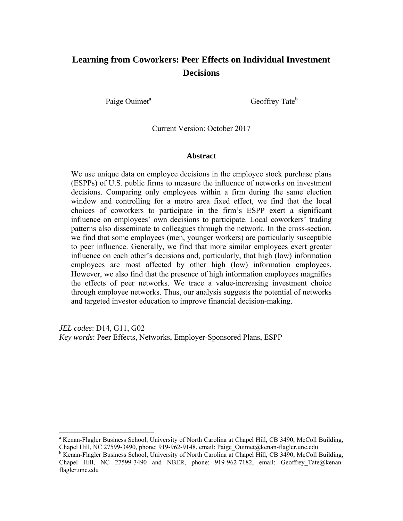# **Learning from Coworkers: Peer Effects on Individual Investment Decisions**

Paige Ouimet<sup>a</sup>

Geoffrey Tate<sup>b</sup>

Current Version: October 2017

#### **Abstract**

We use unique data on employee decisions in the employee stock purchase plans (ESPPs) of U.S. public firms to measure the influence of networks on investment decisions. Comparing only employees within a firm during the same election window and controlling for a metro area fixed effect, we find that the local choices of coworkers to participate in the firm's ESPP exert a significant influence on employees' own decisions to participate. Local coworkers' trading patterns also disseminate to colleagues through the network. In the cross-section, we find that some employees (men, younger workers) are particularly susceptible to peer influence. Generally, we find that more similar employees exert greater influence on each other's decisions and, particularly, that high (low) information employees are most affected by other high (low) information employees. However, we also find that the presence of high information employees magnifies the effects of peer networks. We trace a value-increasing investment choice through employee networks. Thus, our analysis suggests the potential of networks and targeted investor education to improve financial decision-making.

*JEL codes*: D14, G11, G02 *Key words*: Peer Effects, Networks, Employer-Sponsored Plans, ESPP

 $\overline{a}$ 

<sup>a</sup> Kenan-Flagler Business School, University of North Carolina at Chapel Hill, CB 3490, McColl Building, Chapel Hill, NC 27599-3490, phone: 919-962-9148, email: Paige\_Ouimet@kenan-flagler.unc.edu

<sup>&</sup>lt;sup>b</sup> Kenan-Flagler Business School, University of North Carolina at Chapel Hill, CB 3490, McColl Building, Chapel Hill, NC 27599-3490 and NBER, phone: 919-962-7182, email: Geoffrey\_Tate@kenanflagler.unc.edu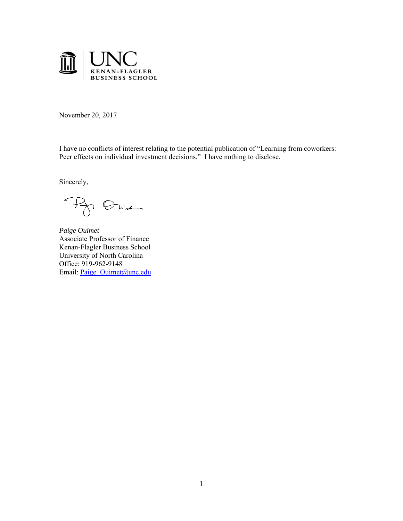

November 20, 2017

I have no conflicts of interest relating to the potential publication of "Learning from coworkers: Peer effects on individual investment decisions." I have nothing to disclose.

Sincerely,

Py Orion

*Paige Ouimet* Associate Professor of Finance Kenan-Flagler Business School University of North Carolina Office: 919-962-9148 Email: Paige\_Ouimet@unc.edu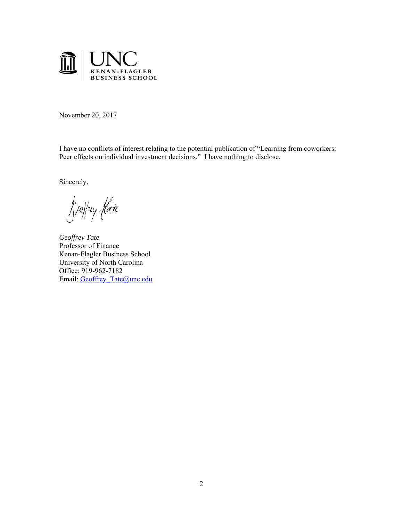

November 20, 2017

I have no conflicts of interest relating to the potential publication of "Learning from coworkers: Peer effects on individual investment decisions." I have nothing to disclose.

Sincerely,

July Hate

*Geoffrey Tate* Professor of Finance Kenan-Flagler Business School University of North Carolina Office: 919-962-7182 Email: Geoffrey\_Tate@unc.edu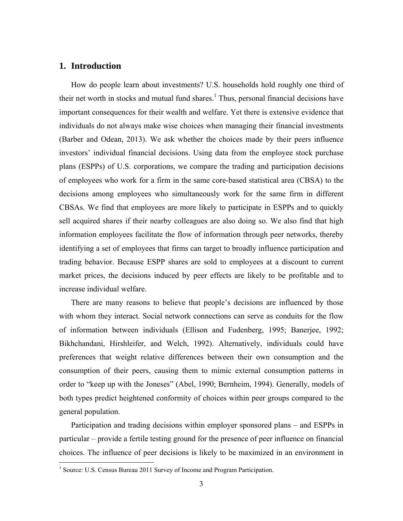## **1. Introduction**

How do people learn about investments? U.S. households hold roughly one third of their net worth in stocks and mutual fund shares.<sup>1</sup> Thus, personal financial decisions have important consequences for their wealth and welfare. Yet there is extensive evidence that individuals do not always make wise choices when managing their financial investments (Barber and Odean, 2013). We ask whether the choices made by their peers influence investors' individual financial decisions. Using data from the employee stock purchase plans (ESPPs) of U.S. corporations, we compare the trading and participation decisions of employees who work for a firm in the same core-based statistical area (CBSA) to the decisions among employees who simultaneously work for the same firm in different CBSAs. We find that employees are more likely to participate in ESPPs and to quickly sell acquired shares if their nearby colleagues are also doing so. We also find that high information employees facilitate the flow of information through peer networks, thereby identifying a set of employees that firms can target to broadly influence participation and trading behavior. Because ESPP shares are sold to employees at a discount to current market prices, the decisions induced by peer effects are likely to be profitable and to increase individual welfare.

There are many reasons to believe that people's decisions are influenced by those with whom they interact. Social network connections can serve as conduits for the flow of information between individuals (Ellison and Fudenberg, 1995; Banerjee, 1992; Bikhchandani, Hirshleifer, and Welch, 1992). Alternatively, individuals could have preferences that weight relative differences between their own consumption and the consumption of their peers, causing them to mimic external consumption patterns in order to "keep up with the Joneses" (Abel, 1990; Bernheim, 1994). Generally, models of both types predict heightened conformity of choices within peer groups compared to the general population.

Participation and trading decisions within employer sponsored plans – and ESPPs in particular – provide a fertile testing ground for the presence of peer influence on financial choices. The influence of peer decisions is likely to be maximized in an environment in

 $\overline{a}$ 

<sup>&</sup>lt;sup>1</sup> Source: U.S. Census Bureau 2011 Survey of Income and Program Participation.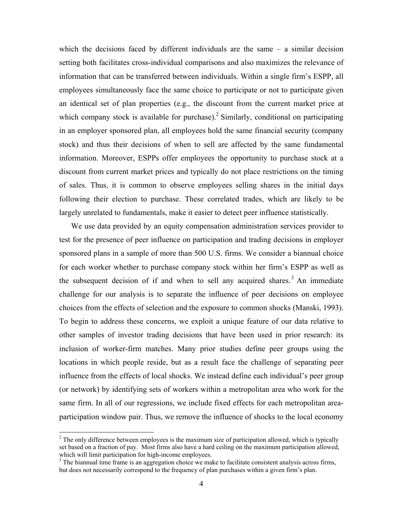which the decisions faced by different individuals are the same  $-$  a similar decision setting both facilitates cross-individual comparisons and also maximizes the relevance of information that can be transferred between individuals. Within a single firm's ESPP, all employees simultaneously face the same choice to participate or not to participate given an identical set of plan properties (e.g., the discount from the current market price at which company stock is available for purchase).<sup>2</sup> Similarly, conditional on participating in an employer sponsored plan, all employees hold the same financial security (company stock) and thus their decisions of when to sell are affected by the same fundamental information. Moreover, ESPPs offer employees the opportunity to purchase stock at a discount from current market prices and typically do not place restrictions on the timing of sales. Thus, it is common to observe employees selling shares in the initial days following their election to purchase. These correlated trades, which are likely to be largely unrelated to fundamentals, make it easier to detect peer influence statistically.

We use data provided by an equity compensation administration services provider to test for the presence of peer influence on participation and trading decisions in employer sponsored plans in a sample of more than 500 U.S. firms. We consider a biannual choice for each worker whether to purchase company stock within her firm's ESPP as well as the subsequent decision of if and when to sell any acquired shares.<sup>3</sup> An immediate challenge for our analysis is to separate the influence of peer decisions on employee choices from the effects of selection and the exposure to common shocks (Manski, 1993). To begin to address these concerns, we exploit a unique feature of our data relative to other samples of investor trading decisions that have been used in prior research: its inclusion of worker-firm matches. Many prior studies define peer groups using the locations in which people reside, but as a result face the challenge of separating peer influence from the effects of local shocks. We instead define each individual's peer group (or network) by identifying sets of workers within a metropolitan area who work for the same firm. In all of our regressions, we include fixed effects for each metropolitan areaparticipation window pair. Thus, we remove the influence of shocks to the local economy

<sup>&</sup>lt;sup>2</sup> The only difference between employees is the maximum size of participation allowed, which is typically set based on a fraction of pay. Most firms also have a hard ceiling on the maximum participation allowed, which will limit participation for high-income employees.

 $3$  The biannual time frame is an aggregation choice we make to facilitate consistent analysis across firms, but does not necessarily correspond to the frequency of plan purchases within a given firm's plan.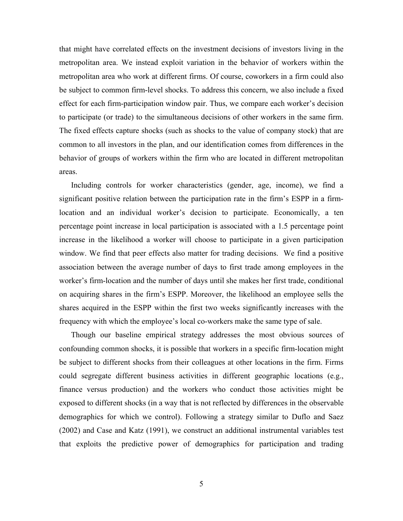that might have correlated effects on the investment decisions of investors living in the metropolitan area. We instead exploit variation in the behavior of workers within the metropolitan area who work at different firms. Of course, coworkers in a firm could also be subject to common firm-level shocks. To address this concern, we also include a fixed effect for each firm-participation window pair. Thus, we compare each worker's decision to participate (or trade) to the simultaneous decisions of other workers in the same firm. The fixed effects capture shocks (such as shocks to the value of company stock) that are common to all investors in the plan, and our identification comes from differences in the behavior of groups of workers within the firm who are located in different metropolitan areas.

Including controls for worker characteristics (gender, age, income), we find a significant positive relation between the participation rate in the firm's ESPP in a firmlocation and an individual worker's decision to participate. Economically, a ten percentage point increase in local participation is associated with a 1.5 percentage point increase in the likelihood a worker will choose to participate in a given participation window. We find that peer effects also matter for trading decisions. We find a positive association between the average number of days to first trade among employees in the worker's firm-location and the number of days until she makes her first trade, conditional on acquiring shares in the firm's ESPP. Moreover, the likelihood an employee sells the shares acquired in the ESPP within the first two weeks significantly increases with the frequency with which the employee's local co-workers make the same type of sale.

Though our baseline empirical strategy addresses the most obvious sources of confounding common shocks, it is possible that workers in a specific firm-location might be subject to different shocks from their colleagues at other locations in the firm. Firms could segregate different business activities in different geographic locations (e.g., finance versus production) and the workers who conduct those activities might be exposed to different shocks (in a way that is not reflected by differences in the observable demographics for which we control). Following a strategy similar to Duflo and Saez (2002) and Case and Katz (1991), we construct an additional instrumental variables test that exploits the predictive power of demographics for participation and trading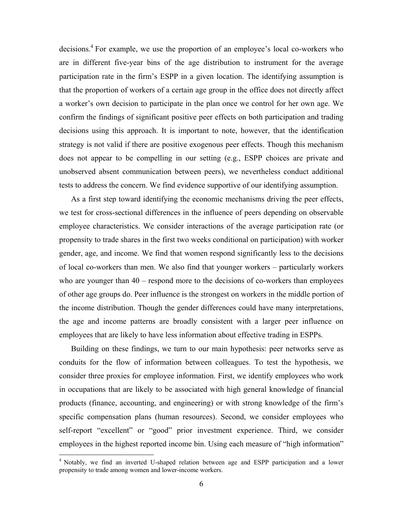decisions.4 For example, we use the proportion of an employee's local co-workers who are in different five-year bins of the age distribution to instrument for the average participation rate in the firm's ESPP in a given location. The identifying assumption is that the proportion of workers of a certain age group in the office does not directly affect a worker's own decision to participate in the plan once we control for her own age. We confirm the findings of significant positive peer effects on both participation and trading decisions using this approach. It is important to note, however, that the identification strategy is not valid if there are positive exogenous peer effects. Though this mechanism does not appear to be compelling in our setting (e.g., ESPP choices are private and unobserved absent communication between peers), we nevertheless conduct additional tests to address the concern. We find evidence supportive of our identifying assumption.

As a first step toward identifying the economic mechanisms driving the peer effects, we test for cross-sectional differences in the influence of peers depending on observable employee characteristics. We consider interactions of the average participation rate (or propensity to trade shares in the first two weeks conditional on participation) with worker gender, age, and income. We find that women respond significantly less to the decisions of local co-workers than men. We also find that younger workers – particularly workers who are younger than  $40 -$  respond more to the decisions of co-workers than employees of other age groups do. Peer influence is the strongest on workers in the middle portion of the income distribution. Though the gender differences could have many interpretations, the age and income patterns are broadly consistent with a larger peer influence on employees that are likely to have less information about effective trading in ESPPs.

Building on these findings, we turn to our main hypothesis: peer networks serve as conduits for the flow of information between colleagues. To test the hypothesis, we consider three proxies for employee information. First, we identify employees who work in occupations that are likely to be associated with high general knowledge of financial products (finance, accounting, and engineering) or with strong knowledge of the firm's specific compensation plans (human resources). Second, we consider employees who self-report "excellent" or "good" prior investment experience. Third, we consider employees in the highest reported income bin. Using each measure of "high information"

 $\overline{a}$ 

<sup>&</sup>lt;sup>4</sup> Notably, we find an inverted U-shaped relation between age and ESPP participation and a lower propensity to trade among women and lower-income workers.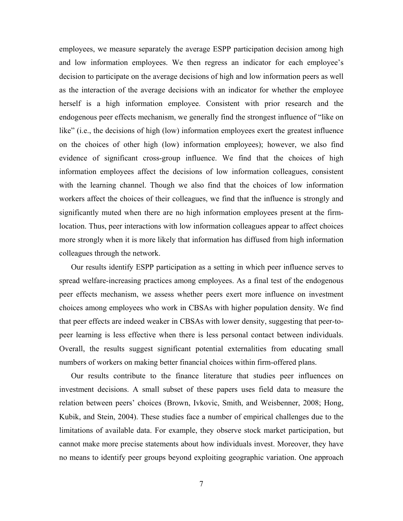employees, we measure separately the average ESPP participation decision among high and low information employees. We then regress an indicator for each employee's decision to participate on the average decisions of high and low information peers as well as the interaction of the average decisions with an indicator for whether the employee herself is a high information employee. Consistent with prior research and the endogenous peer effects mechanism, we generally find the strongest influence of "like on like" (i.e., the decisions of high (low) information employees exert the greatest influence on the choices of other high (low) information employees); however, we also find evidence of significant cross-group influence. We find that the choices of high information employees affect the decisions of low information colleagues, consistent with the learning channel. Though we also find that the choices of low information workers affect the choices of their colleagues, we find that the influence is strongly and significantly muted when there are no high information employees present at the firmlocation. Thus, peer interactions with low information colleagues appear to affect choices more strongly when it is more likely that information has diffused from high information colleagues through the network.

Our results identify ESPP participation as a setting in which peer influence serves to spread welfare-increasing practices among employees. As a final test of the endogenous peer effects mechanism, we assess whether peers exert more influence on investment choices among employees who work in CBSAs with higher population density. We find that peer effects are indeed weaker in CBSAs with lower density, suggesting that peer-topeer learning is less effective when there is less personal contact between individuals. Overall, the results suggest significant potential externalities from educating small numbers of workers on making better financial choices within firm-offered plans.

Our results contribute to the finance literature that studies peer influences on investment decisions. A small subset of these papers uses field data to measure the relation between peers' choices (Brown, Ivkovic, Smith, and Weisbenner, 2008; Hong, Kubik, and Stein, 2004). These studies face a number of empirical challenges due to the limitations of available data. For example, they observe stock market participation, but cannot make more precise statements about how individuals invest. Moreover, they have no means to identify peer groups beyond exploiting geographic variation. One approach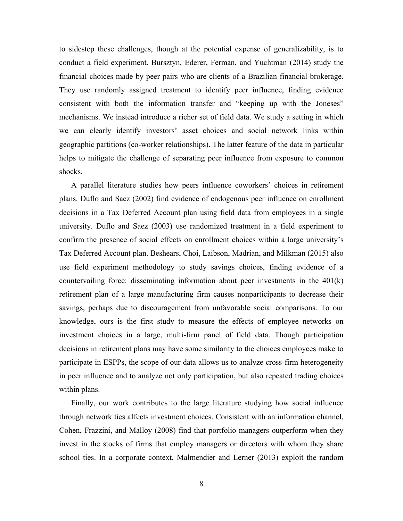to sidestep these challenges, though at the potential expense of generalizability, is to conduct a field experiment. Bursztyn, Ederer, Ferman, and Yuchtman (2014) study the financial choices made by peer pairs who are clients of a Brazilian financial brokerage. They use randomly assigned treatment to identify peer influence, finding evidence consistent with both the information transfer and "keeping up with the Joneses" mechanisms. We instead introduce a richer set of field data. We study a setting in which we can clearly identify investors' asset choices and social network links within geographic partitions (co-worker relationships). The latter feature of the data in particular helps to mitigate the challenge of separating peer influence from exposure to common shocks.

A parallel literature studies how peers influence coworkers' choices in retirement plans. Duflo and Saez (2002) find evidence of endogenous peer influence on enrollment decisions in a Tax Deferred Account plan using field data from employees in a single university. Duflo and Saez (2003) use randomized treatment in a field experiment to confirm the presence of social effects on enrollment choices within a large university's Tax Deferred Account plan. Beshears, Choi, Laibson, Madrian, and Milkman (2015) also use field experiment methodology to study savings choices, finding evidence of a countervailing force: disseminating information about peer investments in the 401(k) retirement plan of a large manufacturing firm causes nonparticipants to decrease their savings, perhaps due to discouragement from unfavorable social comparisons. To our knowledge, ours is the first study to measure the effects of employee networks on investment choices in a large, multi-firm panel of field data. Though participation decisions in retirement plans may have some similarity to the choices employees make to participate in ESPPs, the scope of our data allows us to analyze cross-firm heterogeneity in peer influence and to analyze not only participation, but also repeated trading choices within plans.

Finally, our work contributes to the large literature studying how social influence through network ties affects investment choices. Consistent with an information channel, Cohen, Frazzini, and Malloy (2008) find that portfolio managers outperform when they invest in the stocks of firms that employ managers or directors with whom they share school ties. In a corporate context, Malmendier and Lerner (2013) exploit the random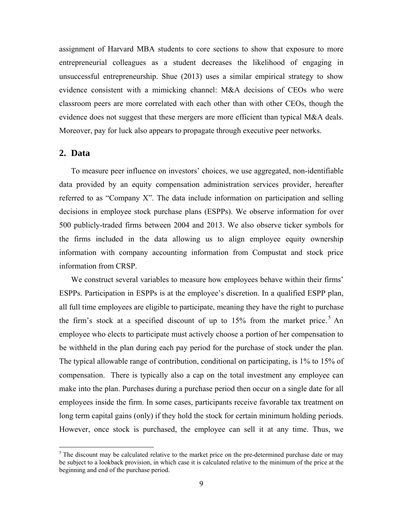assignment of Harvard MBA students to core sections to show that exposure to more entrepreneurial colleagues as a student decreases the likelihood of engaging in unsuccessful entrepreneurship. Shue (2013) uses a similar empirical strategy to show evidence consistent with a mimicking channel: M&A decisions of CEOs who were classroom peers are more correlated with each other than with other CEOs, though the evidence does not suggest that these mergers are more efficient than typical M&A deals. Moreover, pay for luck also appears to propagate through executive peer networks.

### **2. Data**

1

To measure peer influence on investors' choices, we use aggregated, non-identifiable data provided by an equity compensation administration services provider, hereafter referred to as "Company X". The data include information on participation and selling decisions in employee stock purchase plans (ESPPs). We observe information for over 500 publicly-traded firms between 2004 and 2013. We also observe ticker symbols for the firms included in the data allowing us to align employee equity ownership information with company accounting information from Compustat and stock price information from CRSP.

We construct several variables to measure how employees behave within their firms' ESPPs. Participation in ESPPs is at the employee's discretion. In a qualified ESPP plan, all full time employees are eligible to participate, meaning they have the right to purchase the firm's stock at a specified discount of up to  $15\%$  from the market price.<sup>5</sup> An employee who elects to participate must actively choose a portion of her compensation to be withheld in the plan during each pay period for the purchase of stock under the plan. The typical allowable range of contribution, conditional on participating, is 1% to 15% of compensation. There is typically also a cap on the total investment any employee can make into the plan. Purchases during a purchase period then occur on a single date for all employees inside the firm. In some cases, participants receive favorable tax treatment on long term capital gains (only) if they hold the stock for certain minimum holding periods. However, once stock is purchased, the employee can sell it at any time. Thus, we

 $<sup>5</sup>$  The discount may be calculated relative to the market price on the pre-determined purchase date or may</sup> be subject to a lookback provision, in which case it is calculated relative to the minimum of the price at the beginning and end of the purchase period.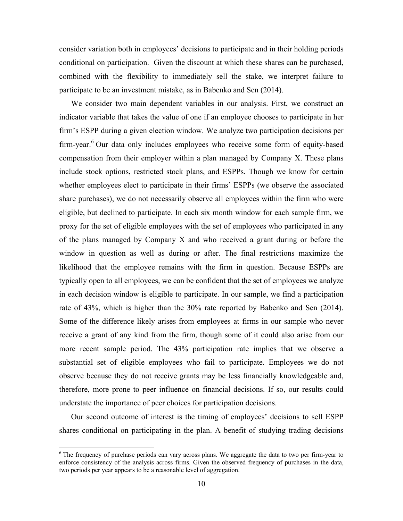consider variation both in employees' decisions to participate and in their holding periods conditional on participation. Given the discount at which these shares can be purchased, combined with the flexibility to immediately sell the stake, we interpret failure to participate to be an investment mistake, as in Babenko and Sen (2014).

We consider two main dependent variables in our analysis. First, we construct an indicator variable that takes the value of one if an employee chooses to participate in her firm's ESPP during a given election window. We analyze two participation decisions per firm-year.<sup>6</sup> Our data only includes employees who receive some form of equity-based compensation from their employer within a plan managed by Company X. These plans include stock options, restricted stock plans, and ESPPs. Though we know for certain whether employees elect to participate in their firms' ESPPs (we observe the associated share purchases), we do not necessarily observe all employees within the firm who were eligible, but declined to participate. In each six month window for each sample firm, we proxy for the set of eligible employees with the set of employees who participated in any of the plans managed by Company X and who received a grant during or before the window in question as well as during or after. The final restrictions maximize the likelihood that the employee remains with the firm in question. Because ESPPs are typically open to all employees, we can be confident that the set of employees we analyze in each decision window is eligible to participate. In our sample, we find a participation rate of 43%, which is higher than the 30% rate reported by Babenko and Sen (2014). Some of the difference likely arises from employees at firms in our sample who never receive a grant of any kind from the firm, though some of it could also arise from our more recent sample period. The 43% participation rate implies that we observe a substantial set of eligible employees who fail to participate. Employees we do not observe because they do not receive grants may be less financially knowledgeable and, therefore, more prone to peer influence on financial decisions. If so, our results could understate the importance of peer choices for participation decisions.

Our second outcome of interest is the timing of employees' decisions to sell ESPP shares conditional on participating in the plan. A benefit of studying trading decisions

 $\overline{a}$ 

<sup>&</sup>lt;sup>6</sup> The frequency of purchase periods can vary across plans. We aggregate the data to two per firm-year to enforce consistency of the analysis across firms. Given the observed frequency of purchases in the data, two periods per year appears to be a reasonable level of aggregation.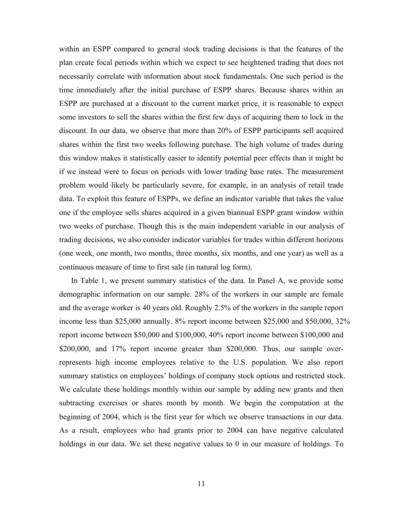within an ESPP compared to general stock trading decisions is that the features of the plan create focal periods within which we expect to see heightened trading that does not necessarily correlate with information about stock fundamentals. One such period is the time immediately after the initial purchase of ESPP shares. Because shares within an ESPP are purchased at a discount to the current market price, it is reasonable to expect some investors to sell the shares within the first few days of acquiring them to lock in the discount. In our data, we observe that more than 20% of ESPP participants sell acquired shares within the first two weeks following purchase. The high volume of trades during this window makes it statistically easier to identify potential peer effects than it might be if we instead were to focus on periods with lower trading base rates. The measurement problem would likely be particularly severe, for example, in an analysis of retail trade data. To exploit this feature of ESPPs, we define an indicator variable that takes the value one if the employee sells shares acquired in a given biannual ESPP grant window within two weeks of purchase. Though this is the main independent variable in our analysis of trading decisions, we also consider indicator variables for trades within different horizons (one week, one month, two months, three months, six months, and one year) as well as a continuous measure of time to first sale (in natural log form).

In Table 1, we present summary statistics of the data. In Panel A, we provide some demographic information on our sample. 28% of the workers in our sample are female and the average worker is 40 years old. Roughly 2.5% of the workers in the sample report income less than \$25,000 annually. 8% report income between \$25,000 and \$50,000, 32% report income between \$50,000 and \$100,000, 40% report income between \$100,000 and \$200,000, and 17% report income greater than \$200,000. Thus, our sample overrepresents high income employees relative to the U.S. population. We also report summary statistics on employees' holdings of company stock options and restricted stock. We calculate these holdings monthly within our sample by adding new grants and then subtracting exercises or shares month by month. We begin the computation at the beginning of 2004, which is the first year for which we observe transactions in our data. As a result, employees who had grants prior to 2004 can have negative calculated holdings in our data. We set these negative values to 0 in our measure of holdings. To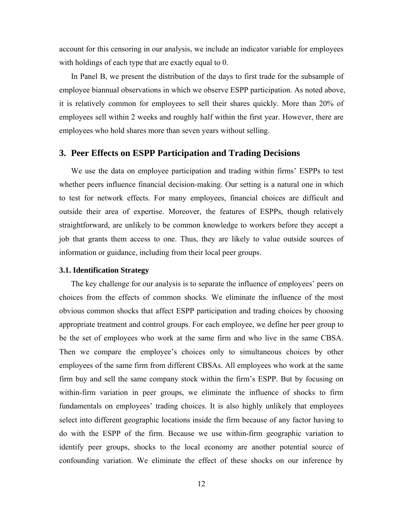account for this censoring in our analysis, we include an indicator variable for employees with holdings of each type that are exactly equal to 0.

In Panel B, we present the distribution of the days to first trade for the subsample of employee biannual observations in which we observe ESPP participation. As noted above, it is relatively common for employees to sell their shares quickly. More than 20% of employees sell within 2 weeks and roughly half within the first year. However, there are employees who hold shares more than seven years without selling.

#### **3. Peer Effects on ESPP Participation and Trading Decisions**

We use the data on employee participation and trading within firms' ESPPs to test whether peers influence financial decision-making. Our setting is a natural one in which to test for network effects. For many employees, financial choices are difficult and outside their area of expertise. Moreover, the features of ESPPs, though relatively straightforward, are unlikely to be common knowledge to workers before they accept a job that grants them access to one. Thus, they are likely to value outside sources of information or guidance, including from their local peer groups.

#### **3.1. Identification Strategy**

The key challenge for our analysis is to separate the influence of employees' peers on choices from the effects of common shocks. We eliminate the influence of the most obvious common shocks that affect ESPP participation and trading choices by choosing appropriate treatment and control groups. For each employee, we define her peer group to be the set of employees who work at the same firm and who live in the same CBSA. Then we compare the employee's choices only to simultaneous choices by other employees of the same firm from different CBSAs. All employees who work at the same firm buy and sell the same company stock within the firm's ESPP. But by focusing on within-firm variation in peer groups, we eliminate the influence of shocks to firm fundamentals on employees' trading choices. It is also highly unlikely that employees select into different geographic locations inside the firm because of any factor having to do with the ESPP of the firm. Because we use within-firm geographic variation to identify peer groups, shocks to the local economy are another potential source of confounding variation. We eliminate the effect of these shocks on our inference by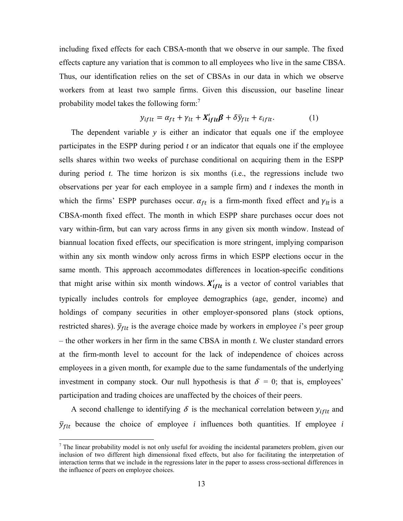including fixed effects for each CBSA-month that we observe in our sample. The fixed effects capture any variation that is common to all employees who live in the same CBSA. Thus, our identification relies on the set of CBSAs in our data in which we observe workers from at least two sample firms. Given this discussion, our baseline linear probability model takes the following form:7

$$
y_{iflt} = \alpha_{ft} + \gamma_{lt} + X'_{iflt} \boldsymbol{\beta} + \delta \bar{y}_{ft} + \varepsilon_{iflt}. \tag{1}
$$

The dependent variable *y* is either an indicator that equals one if the employee participates in the ESPP during period *t* or an indicator that equals one if the employee sells shares within two weeks of purchase conditional on acquiring them in the ESPP during period *t*. The time horizon is six months (i.e., the regressions include two observations per year for each employee in a sample firm) and *t* indexes the month in which the firms' ESPP purchases occur.  $\alpha_{ft}$  is a firm-month fixed effect and  $\gamma_{lt}$  is a CBSA-month fixed effect. The month in which ESPP share purchases occur does not vary within-firm, but can vary across firms in any given six month window. Instead of biannual location fixed effects, our specification is more stringent, implying comparison within any six month window only across firms in which ESPP elections occur in the same month. This approach accommodates differences in location-specific conditions that might arise within six month windows.  $X'_{iflt}$  is a vector of control variables that typically includes controls for employee demographics (age, gender, income) and holdings of company securities in other employer-sponsored plans (stock options, restricted shares).  $\bar{y}_{ftt}$  is the average choice made by workers in employee *i*'s peer group – the other workers in her firm in the same CBSA in month *t*. We cluster standard errors at the firm-month level to account for the lack of independence of choices across employees in a given month, for example due to the same fundamentals of the underlying investment in company stock. Our null hypothesis is that  $\delta = 0$ ; that is, employees' participation and trading choices are unaffected by the choices of their peers.

A second challenge to identifying  $\delta$  is the mechanical correlation between  $y_{iflt}$  and  $\bar{y}_{ft}$  because the choice of employee *i* influences both quantities. If employee *i* 

 $\overline{a}$ 

 $<sup>7</sup>$  The linear probability model is not only useful for avoiding the incidental parameters problem, given our</sup> inclusion of two different high dimensional fixed effects, but also for facilitating the interpretation of interaction terms that we include in the regressions later in the paper to assess cross-sectional differences in the influence of peers on employee choices.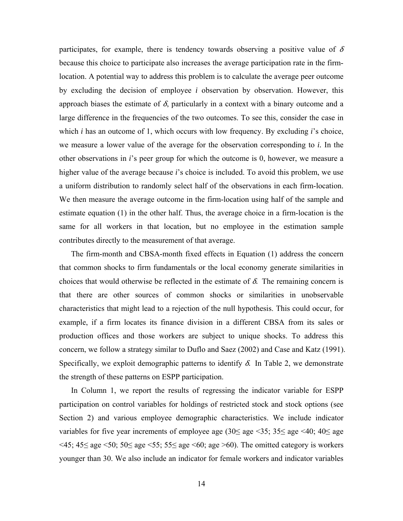participates, for example, there is tendency towards observing a positive value of  $\delta$ because this choice to participate also increases the average participation rate in the firmlocation. A potential way to address this problem is to calculate the average peer outcome by excluding the decision of employee *i* observation by observation. However, this approach biases the estimate of  $\delta$ , particularly in a context with a binary outcome and a large difference in the frequencies of the two outcomes. To see this, consider the case in which *i* has an outcome of 1, which occurs with low frequency. By excluding *i*'s choice, we measure a lower value of the average for the observation corresponding to *i.* In the other observations in *i*'s peer group for which the outcome is 0, however, we measure a higher value of the average because *i*'s choice is included. To avoid this problem, we use a uniform distribution to randomly select half of the observations in each firm-location. We then measure the average outcome in the firm-location using half of the sample and estimate equation (1) in the other half. Thus, the average choice in a firm-location is the same for all workers in that location, but no employee in the estimation sample contributes directly to the measurement of that average.

The firm-month and CBSA-month fixed effects in Equation (1) address the concern that common shocks to firm fundamentals or the local economy generate similarities in choices that would otherwise be reflected in the estimate of  $\delta$ . The remaining concern is that there are other sources of common shocks or similarities in unobservable characteristics that might lead to a rejection of the null hypothesis. This could occur, for example, if a firm locates its finance division in a different CBSA from its sales or production offices and those workers are subject to unique shocks. To address this concern, we follow a strategy similar to Duflo and Saez (2002) and Case and Katz (1991). Specifically, we exploit demographic patterns to identify  $\delta$ . In Table 2, we demonstrate the strength of these patterns on ESPP participation.

In Column 1, we report the results of regressing the indicator variable for ESPP participation on control variables for holdings of restricted stock and stock options (see Section 2) and various employee demographic characteristics. We include indicator variables for five year increments of employee age (30≤ age <35; 35≤ age <40; 40≤ age  $\leq$ 45; 45 $\leq$  age  $\leq$ 50; 50 $\leq$  age  $\leq$ 55; 55 $\leq$  age  $\leq$ 60; age  $\geq$ 60). The omitted category is workers younger than 30. We also include an indicator for female workers and indicator variables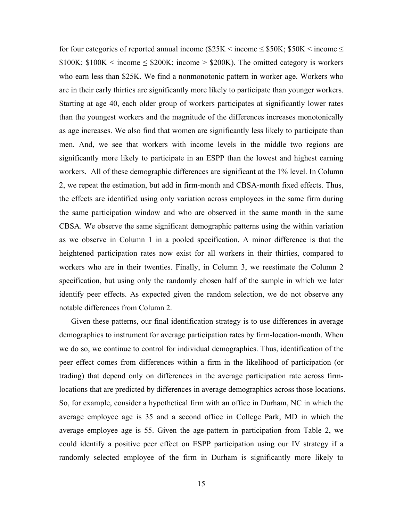for four categories of reported annual income ( $$25K <$  income  $\le$  \$50K; \$50K  $\le$  income  $\le$  $$100K; $100K < income \le $200K; income > $200K$ ). The omitted category is workers who earn less than \$25K. We find a nonmonotonic pattern in worker age. Workers who are in their early thirties are significantly more likely to participate than younger workers. Starting at age 40, each older group of workers participates at significantly lower rates than the youngest workers and the magnitude of the differences increases monotonically as age increases. We also find that women are significantly less likely to participate than men. And, we see that workers with income levels in the middle two regions are significantly more likely to participate in an ESPP than the lowest and highest earning workers. All of these demographic differences are significant at the 1% level. In Column 2, we repeat the estimation, but add in firm-month and CBSA-month fixed effects. Thus, the effects are identified using only variation across employees in the same firm during the same participation window and who are observed in the same month in the same CBSA. We observe the same significant demographic patterns using the within variation as we observe in Column 1 in a pooled specification. A minor difference is that the heightened participation rates now exist for all workers in their thirties, compared to workers who are in their twenties. Finally, in Column 3, we reestimate the Column 2 specification, but using only the randomly chosen half of the sample in which we later identify peer effects. As expected given the random selection, we do not observe any notable differences from Column 2.

Given these patterns, our final identification strategy is to use differences in average demographics to instrument for average participation rates by firm-location-month. When we do so, we continue to control for individual demographics. Thus, identification of the peer effect comes from differences within a firm in the likelihood of participation (or trading) that depend only on differences in the average participation rate across firmlocations that are predicted by differences in average demographics across those locations. So, for example, consider a hypothetical firm with an office in Durham, NC in which the average employee age is 35 and a second office in College Park, MD in which the average employee age is 55. Given the age-pattern in participation from Table 2, we could identify a positive peer effect on ESPP participation using our IV strategy if a randomly selected employee of the firm in Durham is significantly more likely to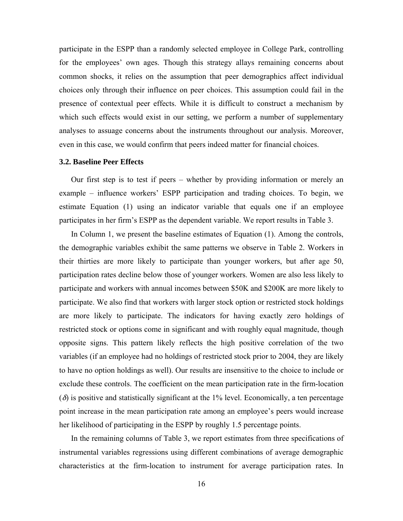participate in the ESPP than a randomly selected employee in College Park, controlling for the employees' own ages. Though this strategy allays remaining concerns about common shocks, it relies on the assumption that peer demographics affect individual choices only through their influence on peer choices. This assumption could fail in the presence of contextual peer effects. While it is difficult to construct a mechanism by which such effects would exist in our setting, we perform a number of supplementary analyses to assuage concerns about the instruments throughout our analysis. Moreover, even in this case, we would confirm that peers indeed matter for financial choices.

#### **3.2. Baseline Peer Effects**

Our first step is to test if peers – whether by providing information or merely an example – influence workers' ESPP participation and trading choices. To begin, we estimate Equation (1) using an indicator variable that equals one if an employee participates in her firm's ESPP as the dependent variable. We report results in Table 3.

In Column 1, we present the baseline estimates of Equation (1). Among the controls, the demographic variables exhibit the same patterns we observe in Table 2. Workers in their thirties are more likely to participate than younger workers, but after age 50, participation rates decline below those of younger workers. Women are also less likely to participate and workers with annual incomes between \$50K and \$200K are more likely to participate. We also find that workers with larger stock option or restricted stock holdings are more likely to participate. The indicators for having exactly zero holdings of restricted stock or options come in significant and with roughly equal magnitude, though opposite signs. This pattern likely reflects the high positive correlation of the two variables (if an employee had no holdings of restricted stock prior to 2004, they are likely to have no option holdings as well). Our results are insensitive to the choice to include or exclude these controls. The coefficient on the mean participation rate in the firm-location  $(\delta)$  is positive and statistically significant at the 1% level. Economically, a ten percentage point increase in the mean participation rate among an employee's peers would increase her likelihood of participating in the ESPP by roughly 1.5 percentage points.

In the remaining columns of Table 3, we report estimates from three specifications of instrumental variables regressions using different combinations of average demographic characteristics at the firm-location to instrument for average participation rates. In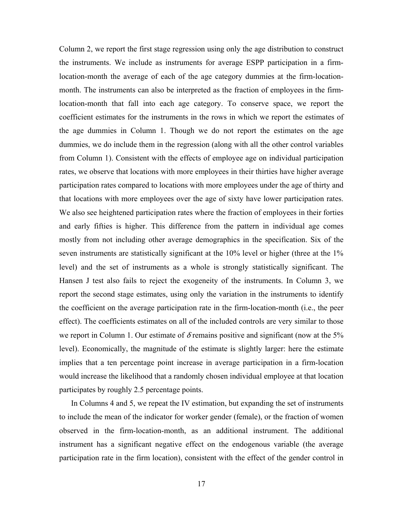Column 2, we report the first stage regression using only the age distribution to construct the instruments. We include as instruments for average ESPP participation in a firmlocation-month the average of each of the age category dummies at the firm-locationmonth. The instruments can also be interpreted as the fraction of employees in the firmlocation-month that fall into each age category. To conserve space, we report the coefficient estimates for the instruments in the rows in which we report the estimates of the age dummies in Column 1. Though we do not report the estimates on the age dummies, we do include them in the regression (along with all the other control variables from Column 1). Consistent with the effects of employee age on individual participation rates, we observe that locations with more employees in their thirties have higher average participation rates compared to locations with more employees under the age of thirty and that locations with more employees over the age of sixty have lower participation rates. We also see heightened participation rates where the fraction of employees in their forties and early fifties is higher. This difference from the pattern in individual age comes mostly from not including other average demographics in the specification. Six of the seven instruments are statistically significant at the 10% level or higher (three at the 1% level) and the set of instruments as a whole is strongly statistically significant. The Hansen J test also fails to reject the exogeneity of the instruments. In Column 3, we report the second stage estimates, using only the variation in the instruments to identify the coefficient on the average participation rate in the firm-location-month (i.e., the peer effect). The coefficients estimates on all of the included controls are very similar to those we report in Column 1. Our estimate of  $\delta$  remains positive and significant (now at the 5% level). Economically, the magnitude of the estimate is slightly larger: here the estimate implies that a ten percentage point increase in average participation in a firm-location would increase the likelihood that a randomly chosen individual employee at that location participates by roughly 2.5 percentage points.

In Columns 4 and 5, we repeat the IV estimation, but expanding the set of instruments to include the mean of the indicator for worker gender (female), or the fraction of women observed in the firm-location-month, as an additional instrument. The additional instrument has a significant negative effect on the endogenous variable (the average participation rate in the firm location), consistent with the effect of the gender control in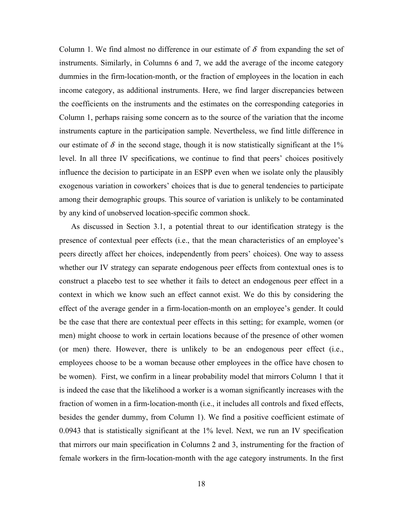Column 1. We find almost no difference in our estimate of  $\delta$  from expanding the set of instruments. Similarly, in Columns 6 and 7, we add the average of the income category dummies in the firm-location-month, or the fraction of employees in the location in each income category, as additional instruments. Here, we find larger discrepancies between the coefficients on the instruments and the estimates on the corresponding categories in Column 1, perhaps raising some concern as to the source of the variation that the income instruments capture in the participation sample. Nevertheless, we find little difference in our estimate of  $\delta$  in the second stage, though it is now statistically significant at the 1% level. In all three IV specifications, we continue to find that peers' choices positively influence the decision to participate in an ESPP even when we isolate only the plausibly exogenous variation in coworkers' choices that is due to general tendencies to participate among their demographic groups. This source of variation is unlikely to be contaminated by any kind of unobserved location-specific common shock.

As discussed in Section 3.1, a potential threat to our identification strategy is the presence of contextual peer effects (i.e., that the mean characteristics of an employee's peers directly affect her choices, independently from peers' choices). One way to assess whether our IV strategy can separate endogenous peer effects from contextual ones is to construct a placebo test to see whether it fails to detect an endogenous peer effect in a context in which we know such an effect cannot exist. We do this by considering the effect of the average gender in a firm-location-month on an employee's gender. It could be the case that there are contextual peer effects in this setting; for example, women (or men) might choose to work in certain locations because of the presence of other women (or men) there. However, there is unlikely to be an endogenous peer effect (i.e., employees choose to be a woman because other employees in the office have chosen to be women). First, we confirm in a linear probability model that mirrors Column 1 that it is indeed the case that the likelihood a worker is a woman significantly increases with the fraction of women in a firm-location-month (i.e., it includes all controls and fixed effects, besides the gender dummy, from Column 1). We find a positive coefficient estimate of 0.0943 that is statistically significant at the 1% level. Next, we run an IV specification that mirrors our main specification in Columns 2 and 3, instrumenting for the fraction of female workers in the firm-location-month with the age category instruments. In the first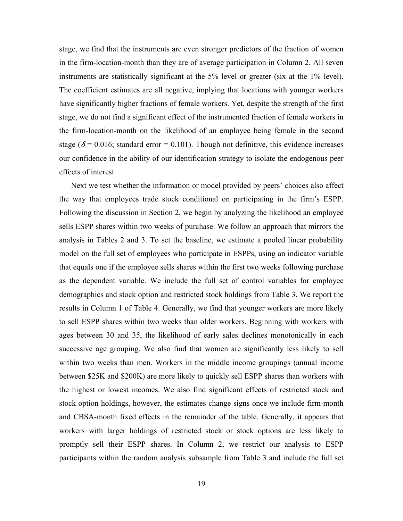stage, we find that the instruments are even stronger predictors of the fraction of women in the firm-location-month than they are of average participation in Column 2. All seven instruments are statistically significant at the 5% level or greater (six at the 1% level). The coefficient estimates are all negative, implying that locations with younger workers have significantly higher fractions of female workers. Yet, despite the strength of the first stage, we do not find a significant effect of the instrumented fraction of female workers in the firm-location-month on the likelihood of an employee being female in the second stage ( $\delta$  = 0.016; standard error = 0.101). Though not definitive, this evidence increases our confidence in the ability of our identification strategy to isolate the endogenous peer effects of interest.

Next we test whether the information or model provided by peers' choices also affect the way that employees trade stock conditional on participating in the firm's ESPP. Following the discussion in Section 2, we begin by analyzing the likelihood an employee sells ESPP shares within two weeks of purchase. We follow an approach that mirrors the analysis in Tables 2 and 3. To set the baseline, we estimate a pooled linear probability model on the full set of employees who participate in ESPPs, using an indicator variable that equals one if the employee sells shares within the first two weeks following purchase as the dependent variable. We include the full set of control variables for employee demographics and stock option and restricted stock holdings from Table 3. We report the results in Column 1 of Table 4. Generally, we find that younger workers are more likely to sell ESPP shares within two weeks than older workers. Beginning with workers with ages between 30 and 35, the likelihood of early sales declines monotonically in each successive age grouping. We also find that women are significantly less likely to sell within two weeks than men. Workers in the middle income groupings (annual income between \$25K and \$200K) are more likely to quickly sell ESPP shares than workers with the highest or lowest incomes. We also find significant effects of restricted stock and stock option holdings, however, the estimates change signs once we include firm-month and CBSA-month fixed effects in the remainder of the table. Generally, it appears that workers with larger holdings of restricted stock or stock options are less likely to promptly sell their ESPP shares. In Column 2, we restrict our analysis to ESPP participants within the random analysis subsample from Table 3 and include the full set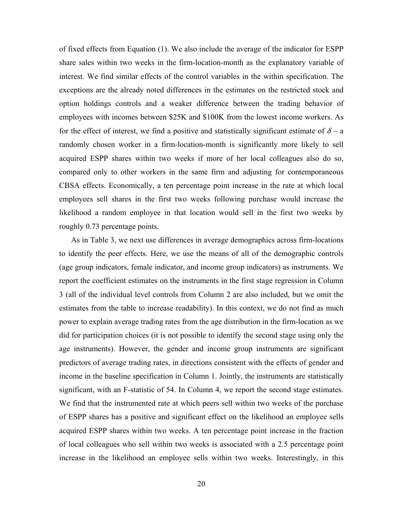of fixed effects from Equation (1). We also include the average of the indicator for ESPP share sales within two weeks in the firm-location-month as the explanatory variable of interest. We find similar effects of the control variables in the within specification. The exceptions are the already noted differences in the estimates on the restricted stock and option holdings controls and a weaker difference between the trading behavior of employees with incomes between \$25K and \$100K from the lowest income workers. As for the effect of interest, we find a positive and statistically significant estimate of  $\delta$  – a randomly chosen worker in a firm-location-month is significantly more likely to sell acquired ESPP shares within two weeks if more of her local colleagues also do so, compared only to other workers in the same firm and adjusting for contemporaneous CBSA effects. Economically, a ten percentage point increase in the rate at which local employees sell shares in the first two weeks following purchase would increase the likelihood a random employee in that location would sell in the first two weeks by roughly 0.73 percentage points.

As in Table 3, we next use differences in average demographics across firm-locations to identify the peer effects. Here, we use the means of all of the demographic controls (age group indicators, female indicator, and income group indicators) as instruments. We report the coefficient estimates on the instruments in the first stage regression in Column 3 (all of the individual level controls from Column 2 are also included, but we omit the estimates from the table to increase readability). In this context, we do not find as much power to explain average trading rates from the age distribution in the firm-location as we did for participation choices (it is not possible to identify the second stage using only the age instruments). However, the gender and income group instruments are significant predictors of average trading rates, in directions consistent with the effects of gender and income in the baseline specification in Column 1. Jointly, the instruments are statistically significant, with an F-statistic of 54. In Column 4, we report the second stage estimates. We find that the instrumented rate at which peers sell within two weeks of the purchase of ESPP shares has a positive and significant effect on the likelihood an employee sells acquired ESPP shares within two weeks. A ten percentage point increase in the fraction of local colleagues who sell within two weeks is associated with a 2.5 percentage point increase in the likelihood an employee sells within two weeks. Interestingly, in this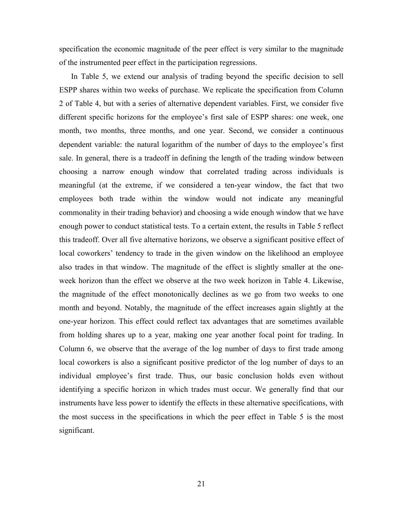specification the economic magnitude of the peer effect is very similar to the magnitude of the instrumented peer effect in the participation regressions.

In Table 5, we extend our analysis of trading beyond the specific decision to sell ESPP shares within two weeks of purchase. We replicate the specification from Column 2 of Table 4, but with a series of alternative dependent variables. First, we consider five different specific horizons for the employee's first sale of ESPP shares: one week, one month, two months, three months, and one year. Second, we consider a continuous dependent variable: the natural logarithm of the number of days to the employee's first sale. In general, there is a tradeoff in defining the length of the trading window between choosing a narrow enough window that correlated trading across individuals is meaningful (at the extreme, if we considered a ten-year window, the fact that two employees both trade within the window would not indicate any meaningful commonality in their trading behavior) and choosing a wide enough window that we have enough power to conduct statistical tests. To a certain extent, the results in Table 5 reflect this tradeoff. Over all five alternative horizons, we observe a significant positive effect of local coworkers' tendency to trade in the given window on the likelihood an employee also trades in that window. The magnitude of the effect is slightly smaller at the oneweek horizon than the effect we observe at the two week horizon in Table 4. Likewise, the magnitude of the effect monotonically declines as we go from two weeks to one month and beyond. Notably, the magnitude of the effect increases again slightly at the one-year horizon. This effect could reflect tax advantages that are sometimes available from holding shares up to a year, making one year another focal point for trading. In Column 6, we observe that the average of the log number of days to first trade among local coworkers is also a significant positive predictor of the log number of days to an individual employee's first trade. Thus, our basic conclusion holds even without identifying a specific horizon in which trades must occur. We generally find that our instruments have less power to identify the effects in these alternative specifications, with the most success in the specifications in which the peer effect in Table 5 is the most significant.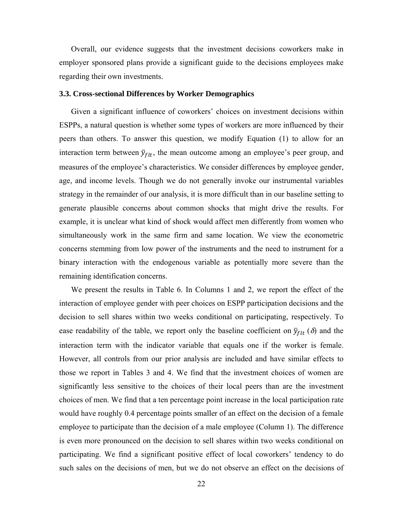Overall, our evidence suggests that the investment decisions coworkers make in employer sponsored plans provide a significant guide to the decisions employees make regarding their own investments.

#### **3.3. Cross-sectional Differences by Worker Demographics**

Given a significant influence of coworkers' choices on investment decisions within ESPPs, a natural question is whether some types of workers are more influenced by their peers than others. To answer this question, we modify Equation (1) to allow for an interaction term between  $\bar{y}_{ftt}$ , the mean outcome among an employee's peer group, and measures of the employee's characteristics. We consider differences by employee gender, age, and income levels. Though we do not generally invoke our instrumental variables strategy in the remainder of our analysis, it is more difficult than in our baseline setting to generate plausible concerns about common shocks that might drive the results. For example, it is unclear what kind of shock would affect men differently from women who simultaneously work in the same firm and same location. We view the econometric concerns stemming from low power of the instruments and the need to instrument for a binary interaction with the endogenous variable as potentially more severe than the remaining identification concerns.

We present the results in Table 6. In Columns 1 and 2, we report the effect of the interaction of employee gender with peer choices on ESPP participation decisions and the decision to sell shares within two weeks conditional on participating, respectively. To ease readability of the table, we report only the baseline coefficient on  $\bar{y}_{ft}$  ( $\delta$ ) and the interaction term with the indicator variable that equals one if the worker is female. However, all controls from our prior analysis are included and have similar effects to those we report in Tables 3 and 4. We find that the investment choices of women are significantly less sensitive to the choices of their local peers than are the investment choices of men. We find that a ten percentage point increase in the local participation rate would have roughly 0.4 percentage points smaller of an effect on the decision of a female employee to participate than the decision of a male employee (Column 1). The difference is even more pronounced on the decision to sell shares within two weeks conditional on participating. We find a significant positive effect of local coworkers' tendency to do such sales on the decisions of men, but we do not observe an effect on the decisions of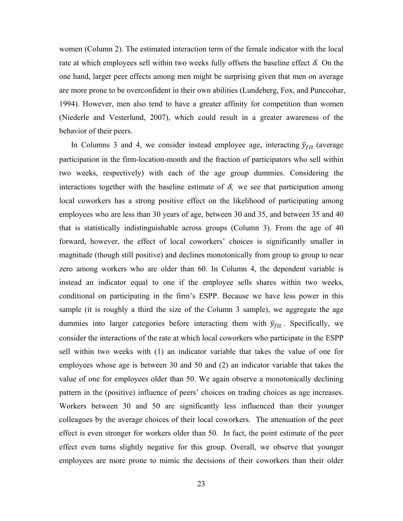women (Column 2). The estimated interaction term of the female indicator with the local rate at which employees sell within two weeks fully offsets the baseline effect  $\delta$ . On the one hand, larger peer effects among men might be surprising given that men on average are more prone to be overconfident in their own abilities (Lundeberg, Fox, and Punccohar, 1994). However, men also tend to have a greater affinity for competition than women (Niederle and Vesterlund, 2007), which could result in a greater awareness of the behavior of their peers.

In Columns 3 and 4, we consider instead employee age, interacting  $\bar{y}_{ft}$  (average participation in the firm-location-month and the fraction of participators who sell within two weeks, respectively) with each of the age group dummies. Considering the interactions together with the baseline estimate of  $\delta$ , we see that participation among local coworkers has a strong positive effect on the likelihood of participating among employees who are less than 30 years of age, between 30 and 35, and between 35 and 40 that is statistically indistinguishable across groups (Column 3). From the age of 40 forward, however, the effect of local coworkers' choices is significantly smaller in magnitude (though still positive) and declines monotonically from group to group to near zero among workers who are older than 60. In Column 4, the dependent variable is instead an indicator equal to one if the employee sells shares within two weeks, conditional on participating in the firm's ESPP. Because we have less power in this sample (it is roughly a third the size of the Column 3 sample), we aggregate the age dummies into larger categories before interacting them with  $\bar{y}_{ft}$ . Specifically, we consider the interactions of the rate at which local coworkers who participate in the ESPP sell within two weeks with (1) an indicator variable that takes the value of one for employees whose age is between 30 and 50 and (2) an indicator variable that takes the value of one for employees older than 50. We again observe a monotonically declining pattern in the (positive) influence of peers' choices on trading choices as age increases. Workers between 30 and 50 are significantly less influenced than their younger colleagues by the average choices of their local coworkers. The attenuation of the peer effect is even stronger for workers older than 50. In fact, the point estimate of the peer effect even turns slightly negative for this group. Overall, we observe that younger employees are more prone to mimic the decisions of their coworkers than their older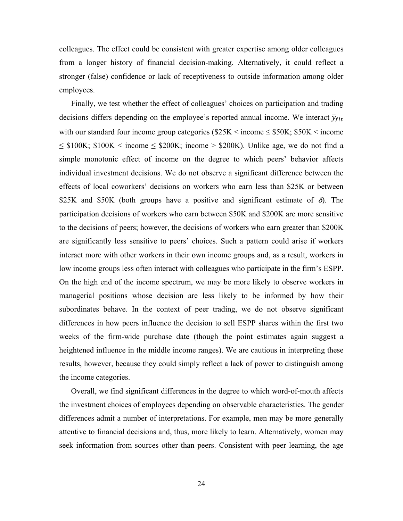colleagues. The effect could be consistent with greater expertise among older colleagues from a longer history of financial decision-making. Alternatively, it could reflect a stronger (false) confidence or lack of receptiveness to outside information among older employees.

Finally, we test whether the effect of colleagues' choices on participation and trading decisions differs depending on the employee's reported annual income. We interact  $\bar{y}_{ft}$ with our standard four income group categories ( $$25K <$  income  $\leq$  \$50K; \$50K  $\leq$  income  $\leq$  \$100K; \$100K  $\leq$  income  $\leq$  \$200K; income  $\geq$  \$200K). Unlike age, we do not find a simple monotonic effect of income on the degree to which peers' behavior affects individual investment decisions. We do not observe a significant difference between the effects of local coworkers' decisions on workers who earn less than \$25K or between \$25K and \$50K (both groups have a positive and significant estimate of  $\delta$ ). The participation decisions of workers who earn between \$50K and \$200K are more sensitive to the decisions of peers; however, the decisions of workers who earn greater than \$200K are significantly less sensitive to peers' choices. Such a pattern could arise if workers interact more with other workers in their own income groups and, as a result, workers in low income groups less often interact with colleagues who participate in the firm's ESPP. On the high end of the income spectrum, we may be more likely to observe workers in managerial positions whose decision are less likely to be informed by how their subordinates behave. In the context of peer trading, we do not observe significant differences in how peers influence the decision to sell ESPP shares within the first two weeks of the firm-wide purchase date (though the point estimates again suggest a heightened influence in the middle income ranges). We are cautious in interpreting these results, however, because they could simply reflect a lack of power to distinguish among the income categories.

Overall, we find significant differences in the degree to which word-of-mouth affects the investment choices of employees depending on observable characteristics. The gender differences admit a number of interpretations. For example, men may be more generally attentive to financial decisions and, thus, more likely to learn. Alternatively, women may seek information from sources other than peers. Consistent with peer learning, the age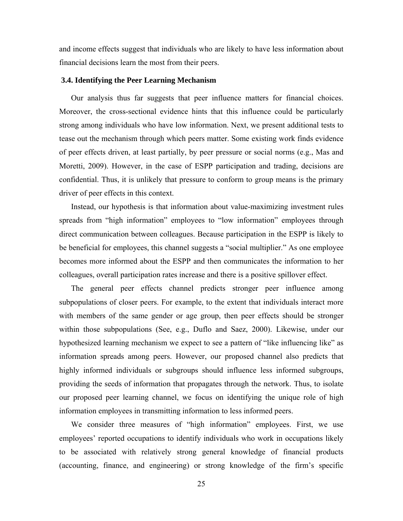and income effects suggest that individuals who are likely to have less information about financial decisions learn the most from their peers.

#### **3.4. Identifying the Peer Learning Mechanism**

Our analysis thus far suggests that peer influence matters for financial choices. Moreover, the cross-sectional evidence hints that this influence could be particularly strong among individuals who have low information. Next, we present additional tests to tease out the mechanism through which peers matter. Some existing work finds evidence of peer effects driven, at least partially, by peer pressure or social norms (e.g., Mas and Moretti, 2009). However, in the case of ESPP participation and trading, decisions are confidential. Thus, it is unlikely that pressure to conform to group means is the primary driver of peer effects in this context.

Instead, our hypothesis is that information about value-maximizing investment rules spreads from "high information" employees to "low information" employees through direct communication between colleagues. Because participation in the ESPP is likely to be beneficial for employees, this channel suggests a "social multiplier." As one employee becomes more informed about the ESPP and then communicates the information to her colleagues, overall participation rates increase and there is a positive spillover effect.

The general peer effects channel predicts stronger peer influence among subpopulations of closer peers. For example, to the extent that individuals interact more with members of the same gender or age group, then peer effects should be stronger within those subpopulations (See, e.g., Duflo and Saez, 2000). Likewise, under our hypothesized learning mechanism we expect to see a pattern of "like influencing like" as information spreads among peers. However, our proposed channel also predicts that highly informed individuals or subgroups should influence less informed subgroups, providing the seeds of information that propagates through the network. Thus, to isolate our proposed peer learning channel, we focus on identifying the unique role of high information employees in transmitting information to less informed peers.

We consider three measures of "high information" employees. First, we use employees' reported occupations to identify individuals who work in occupations likely to be associated with relatively strong general knowledge of financial products (accounting, finance, and engineering) or strong knowledge of the firm's specific

25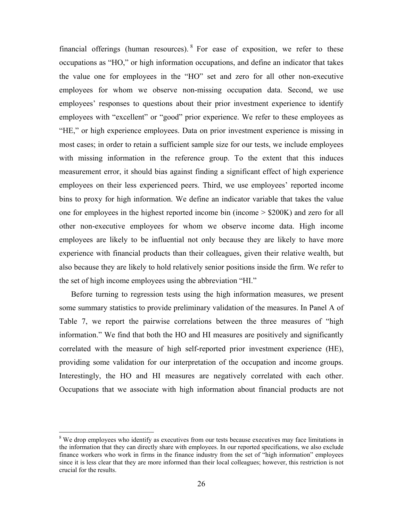financial offerings (human resources). <sup>8</sup> For ease of exposition, we refer to these occupations as "HO," or high information occupations, and define an indicator that takes the value one for employees in the "HO" set and zero for all other non-executive employees for whom we observe non-missing occupation data. Second, we use employees' responses to questions about their prior investment experience to identify employees with "excellent" or "good" prior experience. We refer to these employees as "HE," or high experience employees. Data on prior investment experience is missing in most cases; in order to retain a sufficient sample size for our tests, we include employees with missing information in the reference group. To the extent that this induces measurement error, it should bias against finding a significant effect of high experience employees on their less experienced peers. Third, we use employees' reported income bins to proxy for high information. We define an indicator variable that takes the value one for employees in the highest reported income bin (income > \$200K) and zero for all other non-executive employees for whom we observe income data. High income employees are likely to be influential not only because they are likely to have more experience with financial products than their colleagues, given their relative wealth, but also because they are likely to hold relatively senior positions inside the firm. We refer to the set of high income employees using the abbreviation "HI."

Before turning to regression tests using the high information measures, we present some summary statistics to provide preliminary validation of the measures. In Panel A of Table 7, we report the pairwise correlations between the three measures of "high information." We find that both the HO and HI measures are positively and significantly correlated with the measure of high self-reported prior investment experience (HE), providing some validation for our interpretation of the occupation and income groups. Interestingly, the HO and HI measures are negatively correlated with each other. Occupations that we associate with high information about financial products are not

 $\overline{a}$ 

<sup>&</sup>lt;sup>8</sup> We drop employees who identify as executives from our tests because executives may face limitations in the information that they can directly share with employees. In our reported specifications, we also exclude finance workers who work in firms in the finance industry from the set of "high information" employees since it is less clear that they are more informed than their local colleagues; however, this restriction is not crucial for the results.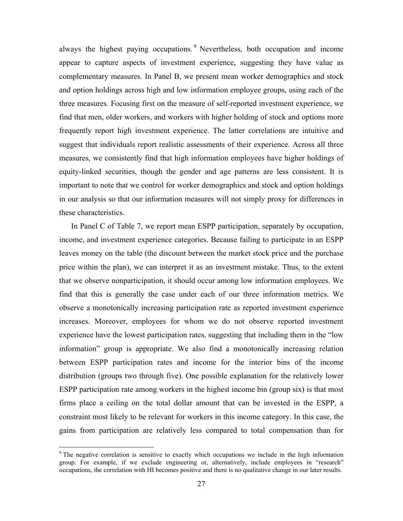always the highest paying occupations. 9 Nevertheless, both occupation and income appear to capture aspects of investment experience, suggesting they have value as complementary measures. In Panel B, we present mean worker demographics and stock and option holdings across high and low information employee groups, using each of the three measures. Focusing first on the measure of self-reported investment experience, we find that men, older workers, and workers with higher holding of stock and options more frequently report high investment experience. The latter correlations are intuitive and suggest that individuals report realistic assessments of their experience. Across all three measures, we consistently find that high information employees have higher holdings of equity-linked securities, though the gender and age patterns are less consistent. It is important to note that we control for worker demographics and stock and option holdings in our analysis so that our information measures will not simply proxy for differences in these characteristics.

In Panel C of Table 7, we report mean ESPP participation, separately by occupation, income, and investment experience categories. Because failing to participate in an ESPP leaves money on the table (the discount between the market stock price and the purchase price within the plan), we can interpret it as an investment mistake. Thus, to the extent that we observe nonparticipation, it should occur among low information employees. We find that this is generally the case under each of our three information metrics. We observe a monotonically increasing participation rate as reported investment experience increases. Moreover, employees for whom we do not observe reported investment experience have the lowest participation rates, suggesting that including them in the "low information" group is appropriate. We also find a monotonically increasing relation between ESPP participation rates and income for the interior bins of the income distribution (groups two through five). One possible explanation for the relatively lower ESPP participation rate among workers in the highest income bin (group six) is that most firms place a ceiling on the total dollar amount that can be invested in the ESPP, a constraint most likely to be relevant for workers in this income category. In this case, the gains from participation are relatively less compared to total compensation than for

 $\overline{a}$ 

<sup>&</sup>lt;sup>9</sup> The negative correlation is sensitive to exactly which occupations we include in the high information group. For example, if we exclude engineering or, alternatively, include employees in "research" occupations, the correlation with HI becomes positive and there is no qualitative change in our later results.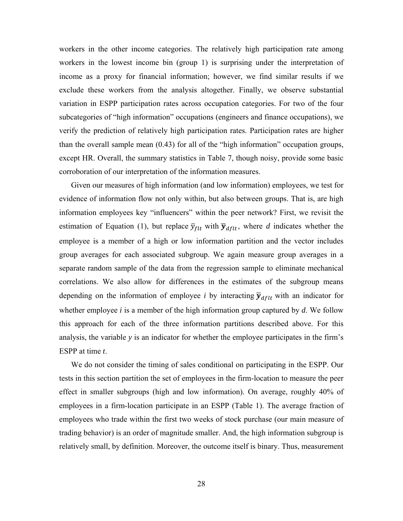workers in the other income categories. The relatively high participation rate among workers in the lowest income bin (group 1) is surprising under the interpretation of income as a proxy for financial information; however, we find similar results if we exclude these workers from the analysis altogether. Finally, we observe substantial variation in ESPP participation rates across occupation categories. For two of the four subcategories of "high information" occupations (engineers and finance occupations), we verify the prediction of relatively high participation rates. Participation rates are higher than the overall sample mean (0.43) for all of the "high information" occupation groups, except HR. Overall, the summary statistics in Table 7, though noisy, provide some basic corroboration of our interpretation of the information measures.

Given our measures of high information (and low information) employees, we test for evidence of information flow not only within, but also between groups. That is, are high information employees key "influencers" within the peer network? First, we revisit the estimation of Equation (1), but replace  $\bar{y}_{ft}$  with  $\bar{y}_{dft}$ , where *d* indicates whether the employee is a member of a high or low information partition and the vector includes group averages for each associated subgroup. We again measure group averages in a separate random sample of the data from the regression sample to eliminate mechanical correlations. We also allow for differences in the estimates of the subgroup means depending on the information of employee *i* by interacting  $\bar{y}_{dft}$  with an indicator for whether employee *i* is a member of the high information group captured by *d*. We follow this approach for each of the three information partitions described above. For this analysis, the variable *y* is an indicator for whether the employee participates in the firm's ESPP at time *t*.

We do not consider the timing of sales conditional on participating in the ESPP. Our tests in this section partition the set of employees in the firm-location to measure the peer effect in smaller subgroups (high and low information). On average, roughly 40% of employees in a firm-location participate in an ESPP (Table 1). The average fraction of employees who trade within the first two weeks of stock purchase (our main measure of trading behavior) is an order of magnitude smaller. And, the high information subgroup is relatively small, by definition. Moreover, the outcome itself is binary. Thus, measurement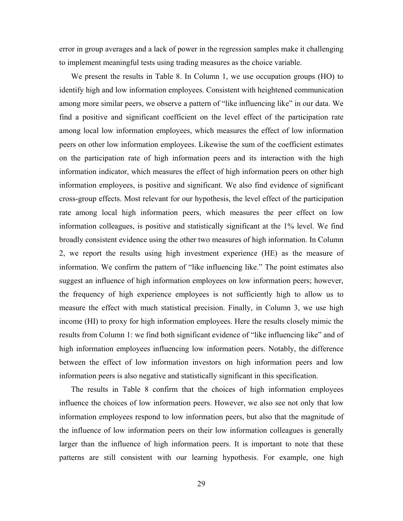error in group averages and a lack of power in the regression samples make it challenging to implement meaningful tests using trading measures as the choice variable.

We present the results in Table 8. In Column 1, we use occupation groups (HO) to identify high and low information employees. Consistent with heightened communication among more similar peers, we observe a pattern of "like influencing like" in our data. We find a positive and significant coefficient on the level effect of the participation rate among local low information employees, which measures the effect of low information peers on other low information employees. Likewise the sum of the coefficient estimates on the participation rate of high information peers and its interaction with the high information indicator, which measures the effect of high information peers on other high information employees, is positive and significant. We also find evidence of significant cross-group effects. Most relevant for our hypothesis, the level effect of the participation rate among local high information peers, which measures the peer effect on low information colleagues, is positive and statistically significant at the 1% level. We find broadly consistent evidence using the other two measures of high information. In Column 2, we report the results using high investment experience (HE) as the measure of information. We confirm the pattern of "like influencing like." The point estimates also suggest an influence of high information employees on low information peers; however, the frequency of high experience employees is not sufficiently high to allow us to measure the effect with much statistical precision. Finally, in Column 3, we use high income (HI) to proxy for high information employees. Here the results closely mimic the results from Column 1: we find both significant evidence of "like influencing like" and of high information employees influencing low information peers. Notably, the difference between the effect of low information investors on high information peers and low information peers is also negative and statistically significant in this specification.

The results in Table 8 confirm that the choices of high information employees influence the choices of low information peers. However, we also see not only that low information employees respond to low information peers, but also that the magnitude of the influence of low information peers on their low information colleagues is generally larger than the influence of high information peers. It is important to note that these patterns are still consistent with our learning hypothesis. For example, one high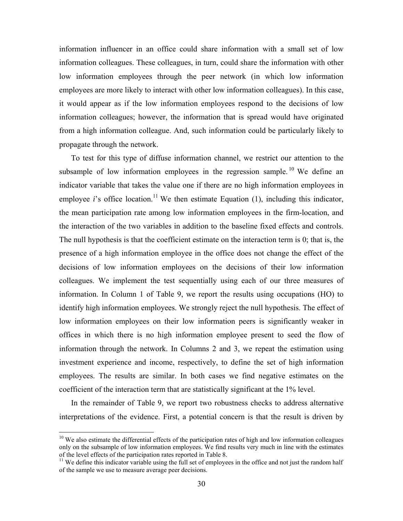information influencer in an office could share information with a small set of low information colleagues. These colleagues, in turn, could share the information with other low information employees through the peer network (in which low information employees are more likely to interact with other low information colleagues). In this case, it would appear as if the low information employees respond to the decisions of low information colleagues; however, the information that is spread would have originated from a high information colleague. And, such information could be particularly likely to propagate through the network.

To test for this type of diffuse information channel, we restrict our attention to the subsample of low information employees in the regression sample.<sup>10</sup> We define an indicator variable that takes the value one if there are no high information employees in employee *i*'s office location.<sup>11</sup> We then estimate Equation (1), including this indicator, the mean participation rate among low information employees in the firm-location, and the interaction of the two variables in addition to the baseline fixed effects and controls. The null hypothesis is that the coefficient estimate on the interaction term is 0; that is, the presence of a high information employee in the office does not change the effect of the decisions of low information employees on the decisions of their low information colleagues. We implement the test sequentially using each of our three measures of information. In Column 1 of Table 9, we report the results using occupations (HO) to identify high information employees. We strongly reject the null hypothesis. The effect of low information employees on their low information peers is significantly weaker in offices in which there is no high information employee present to seed the flow of information through the network. In Columns 2 and 3, we repeat the estimation using investment experience and income, respectively, to define the set of high information employees. The results are similar. In both cases we find negative estimates on the coefficient of the interaction term that are statistically significant at the 1% level.

In the remainder of Table 9, we report two robustness checks to address alternative interpretations of the evidence. First, a potential concern is that the result is driven by

 $\overline{a}$ 

<sup>&</sup>lt;sup>10</sup> We also estimate the differential effects of the participation rates of high and low information colleagues only on the subsample of low information employees. We find results very much in line with the estimates of the level effects of the participation rates reported in Table 8.

<sup>&</sup>lt;sup>11</sup> We define this indicator variable using the full set of employees in the office and not just the random half of the sample we use to measure average peer decisions.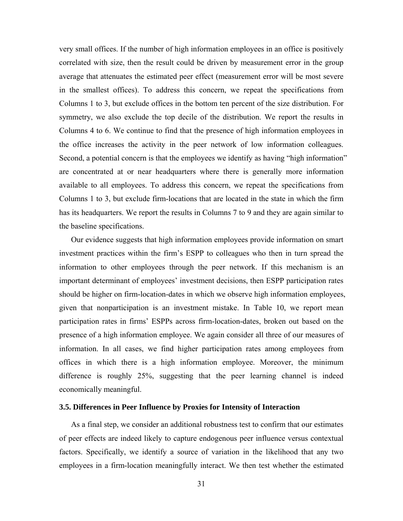very small offices. If the number of high information employees in an office is positively correlated with size, then the result could be driven by measurement error in the group average that attenuates the estimated peer effect (measurement error will be most severe in the smallest offices). To address this concern, we repeat the specifications from Columns 1 to 3, but exclude offices in the bottom ten percent of the size distribution. For symmetry, we also exclude the top decile of the distribution. We report the results in Columns 4 to 6. We continue to find that the presence of high information employees in the office increases the activity in the peer network of low information colleagues. Second, a potential concern is that the employees we identify as having "high information" are concentrated at or near headquarters where there is generally more information available to all employees. To address this concern, we repeat the specifications from Columns 1 to 3, but exclude firm-locations that are located in the state in which the firm has its headquarters. We report the results in Columns 7 to 9 and they are again similar to the baseline specifications.

Our evidence suggests that high information employees provide information on smart investment practices within the firm's ESPP to colleagues who then in turn spread the information to other employees through the peer network. If this mechanism is an important determinant of employees' investment decisions, then ESPP participation rates should be higher on firm-location-dates in which we observe high information employees, given that nonparticipation is an investment mistake. In Table 10, we report mean participation rates in firms' ESPPs across firm-location-dates, broken out based on the presence of a high information employee. We again consider all three of our measures of information. In all cases, we find higher participation rates among employees from offices in which there is a high information employee. Moreover, the minimum difference is roughly 25%, suggesting that the peer learning channel is indeed economically meaningful.

#### **3.5. Differences in Peer Influence by Proxies for Intensity of Interaction**

As a final step, we consider an additional robustness test to confirm that our estimates of peer effects are indeed likely to capture endogenous peer influence versus contextual factors. Specifically, we identify a source of variation in the likelihood that any two employees in a firm-location meaningfully interact. We then test whether the estimated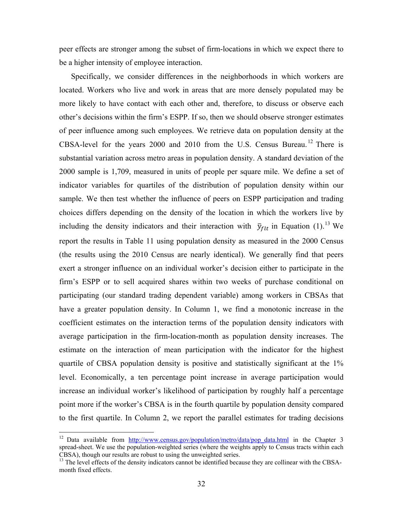peer effects are stronger among the subset of firm-locations in which we expect there to be a higher intensity of employee interaction.

Specifically, we consider differences in the neighborhoods in which workers are located. Workers who live and work in areas that are more densely populated may be more likely to have contact with each other and, therefore, to discuss or observe each other's decisions within the firm's ESPP. If so, then we should observe stronger estimates of peer influence among such employees. We retrieve data on population density at the CBSA-level for the years 2000 and 2010 from the U.S. Census Bureau. 12 There is substantial variation across metro areas in population density. A standard deviation of the 2000 sample is 1,709, measured in units of people per square mile. We define a set of indicator variables for quartiles of the distribution of population density within our sample. We then test whether the influence of peers on ESPP participation and trading choices differs depending on the density of the location in which the workers live by including the density indicators and their interaction with  $\bar{y}_{ft}$  in Equation (1).<sup>13</sup> We report the results in Table 11 using population density as measured in the 2000 Census (the results using the 2010 Census are nearly identical). We generally find that peers exert a stronger influence on an individual worker's decision either to participate in the firm's ESPP or to sell acquired shares within two weeks of purchase conditional on participating (our standard trading dependent variable) among workers in CBSAs that have a greater population density. In Column 1, we find a monotonic increase in the coefficient estimates on the interaction terms of the population density indicators with average participation in the firm-location-month as population density increases. The estimate on the interaction of mean participation with the indicator for the highest quartile of CBSA population density is positive and statistically significant at the 1% level. Economically, a ten percentage point increase in average participation would increase an individual worker's likelihood of participation by roughly half a percentage point more if the worker's CBSA is in the fourth quartile by population density compared to the first quartile. In Column 2, we report the parallel estimates for trading decisions

1

<sup>&</sup>lt;sup>12</sup> Data available from  $\frac{http://www.census.gov/population/metro/data/pop data.html}{http://www.census.gov/population/metro/data/pop data.html}$  in the Chapter 3 spread-sheet. We use the population-weighted series (where the weights apply to Census tracts within each CBSA), though our results are robust to using the unweighted series.

<sup>&</sup>lt;sup>13</sup> The level effects of the density indicators cannot be identified because they are collinear with the CBSAmonth fixed effects.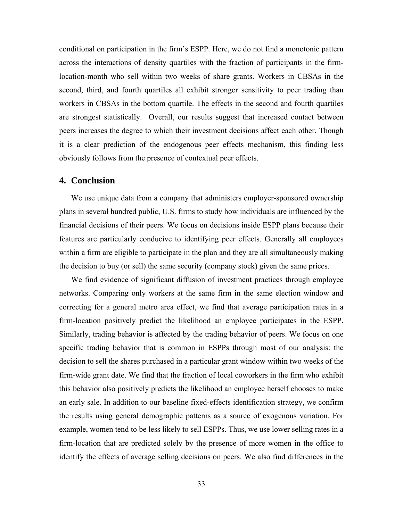conditional on participation in the firm's ESPP. Here, we do not find a monotonic pattern across the interactions of density quartiles with the fraction of participants in the firmlocation-month who sell within two weeks of share grants. Workers in CBSAs in the second, third, and fourth quartiles all exhibit stronger sensitivity to peer trading than workers in CBSAs in the bottom quartile. The effects in the second and fourth quartiles are strongest statistically. Overall, our results suggest that increased contact between peers increases the degree to which their investment decisions affect each other. Though it is a clear prediction of the endogenous peer effects mechanism, this finding less obviously follows from the presence of contextual peer effects.

#### **4. Conclusion**

We use unique data from a company that administers employer-sponsored ownership plans in several hundred public, U.S. firms to study how individuals are influenced by the financial decisions of their peers. We focus on decisions inside ESPP plans because their features are particularly conducive to identifying peer effects. Generally all employees within a firm are eligible to participate in the plan and they are all simultaneously making the decision to buy (or sell) the same security (company stock) given the same prices.

We find evidence of significant diffusion of investment practices through employee networks. Comparing only workers at the same firm in the same election window and correcting for a general metro area effect, we find that average participation rates in a firm-location positively predict the likelihood an employee participates in the ESPP. Similarly, trading behavior is affected by the trading behavior of peers. We focus on one specific trading behavior that is common in ESPPs through most of our analysis: the decision to sell the shares purchased in a particular grant window within two weeks of the firm-wide grant date. We find that the fraction of local coworkers in the firm who exhibit this behavior also positively predicts the likelihood an employee herself chooses to make an early sale. In addition to our baseline fixed-effects identification strategy, we confirm the results using general demographic patterns as a source of exogenous variation. For example, women tend to be less likely to sell ESPPs. Thus, we use lower selling rates in a firm-location that are predicted solely by the presence of more women in the office to identify the effects of average selling decisions on peers. We also find differences in the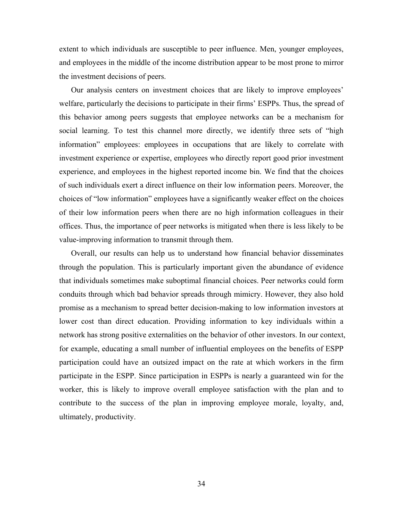extent to which individuals are susceptible to peer influence. Men, younger employees, and employees in the middle of the income distribution appear to be most prone to mirror the investment decisions of peers.

Our analysis centers on investment choices that are likely to improve employees' welfare, particularly the decisions to participate in their firms' ESPPs. Thus, the spread of this behavior among peers suggests that employee networks can be a mechanism for social learning. To test this channel more directly, we identify three sets of "high information" employees: employees in occupations that are likely to correlate with investment experience or expertise, employees who directly report good prior investment experience, and employees in the highest reported income bin. We find that the choices of such individuals exert a direct influence on their low information peers. Moreover, the choices of "low information" employees have a significantly weaker effect on the choices of their low information peers when there are no high information colleagues in their offices. Thus, the importance of peer networks is mitigated when there is less likely to be value-improving information to transmit through them.

Overall, our results can help us to understand how financial behavior disseminates through the population. This is particularly important given the abundance of evidence that individuals sometimes make suboptimal financial choices. Peer networks could form conduits through which bad behavior spreads through mimicry. However, they also hold promise as a mechanism to spread better decision-making to low information investors at lower cost than direct education. Providing information to key individuals within a network has strong positive externalities on the behavior of other investors. In our context, for example, educating a small number of influential employees on the benefits of ESPP participation could have an outsized impact on the rate at which workers in the firm participate in the ESPP. Since participation in ESPPs is nearly a guaranteed win for the worker, this is likely to improve overall employee satisfaction with the plan and to contribute to the success of the plan in improving employee morale, loyalty, and, ultimately, productivity.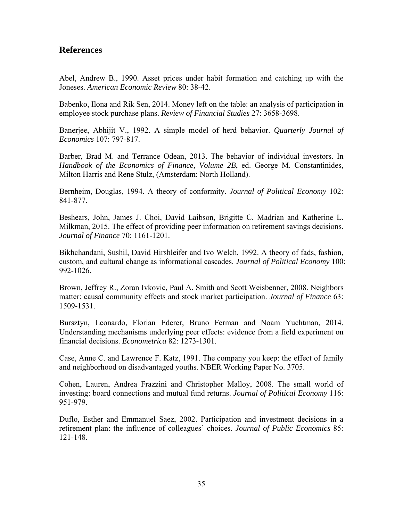## **References**

Abel, Andrew B., 1990. Asset prices under habit formation and catching up with the Joneses. *American Economic Review* 80: 38-42.

Babenko, Ilona and Rik Sen, 2014. Money left on the table: an analysis of participation in employee stock purchase plans. *Review of Financial Studies* 27: 3658-3698.

Banerjee, Abhijit V., 1992. A simple model of herd behavior. *Quarterly Journal of Economics* 107: 797-817.

Barber, Brad M. and Terrance Odean, 2013. The behavior of individual investors. In *Handbook of the Economics of Finance, Volume 2B*, ed. George M. Constantinides, Milton Harris and Rene Stulz, (Amsterdam: North Holland).

Bernheim, Douglas, 1994. A theory of conformity. *Journal of Political Economy* 102: 841-877.

Beshears, John, James J. Choi, David Laibson, Brigitte C. Madrian and Katherine L. Milkman, 2015. The effect of providing peer information on retirement savings decisions. *Journal of Finance* 70: 1161-1201.

Bikhchandani, Sushil, David Hirshleifer and Ivo Welch, 1992. A theory of fads, fashion, custom, and cultural change as informational cascades. *Journal of Political Economy* 100: 992-1026.

Brown, Jeffrey R., Zoran Ivkovic, Paul A. Smith and Scott Weisbenner, 2008. Neighbors matter: causal community effects and stock market participation. *Journal of Finance* 63: 1509-1531.

Bursztyn, Leonardo, Florian Ederer, Bruno Ferman and Noam Yuchtman, 2014. Understanding mechanisms underlying peer effects: evidence from a field experiment on financial decisions. *Econometrica* 82: 1273-1301.

Case, Anne C. and Lawrence F. Katz, 1991. The company you keep: the effect of family and neighborhood on disadvantaged youths. NBER Working Paper No. 3705.

Cohen, Lauren, Andrea Frazzini and Christopher Malloy, 2008. The small world of investing: board connections and mutual fund returns. *Journal of Political Economy* 116: 951-979.

Duflo, Esther and Emmanuel Saez, 2002. Participation and investment decisions in a retirement plan: the influence of colleagues' choices. *Journal of Public Economics* 85: 121-148.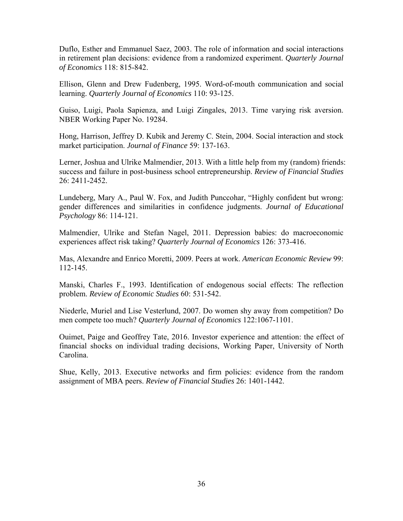Duflo, Esther and Emmanuel Saez, 2003. The role of information and social interactions in retirement plan decisions: evidence from a randomized experiment. *Quarterly Journal of Economics* 118: 815-842.

Ellison, Glenn and Drew Fudenberg, 1995. Word-of-mouth communication and social learning. *Quarterly Journal of Economics* 110: 93-125.

Guiso, Luigi, Paola Sapienza, and Luigi Zingales, 2013. Time varying risk aversion. NBER Working Paper No. 19284.

Hong, Harrison, Jeffrey D. Kubik and Jeremy C. Stein, 2004. Social interaction and stock market participation. *Journal of Finance* 59: 137-163.

Lerner, Joshua and Ulrike Malmendier, 2013. With a little help from my (random) friends: success and failure in post-business school entrepreneurship. *Review of Financial Studies* 26: 2411-2452.

Lundeberg, Mary A., Paul W. Fox, and Judith Punccohar, "Highly confident but wrong: gender differences and similarities in confidence judgments. *Journal of Educational Psychology* 86: 114-121.

Malmendier, Ulrike and Stefan Nagel, 2011. Depression babies: do macroeconomic experiences affect risk taking? *Quarterly Journal of Economics* 126: 373-416.

Mas, Alexandre and Enrico Moretti, 2009. Peers at work. *American Economic Review* 99: 112-145.

Manski, Charles F., 1993. Identification of endogenous social effects: The reflection problem. *Review of Economic Studies* 60: 531-542.

Niederle, Muriel and Lise Vesterlund, 2007. Do women shy away from competition? Do men compete too much? *Quarterly Journal of Economics* 122:1067-1101.

Ouimet, Paige and Geoffrey Tate, 2016. Investor experience and attention: the effect of financial shocks on individual trading decisions, Working Paper, University of North Carolina.

Shue, Kelly, 2013. Executive networks and firm policies: evidence from the random assignment of MBA peers. *Review of Financial Studies* 26: 1401-1442.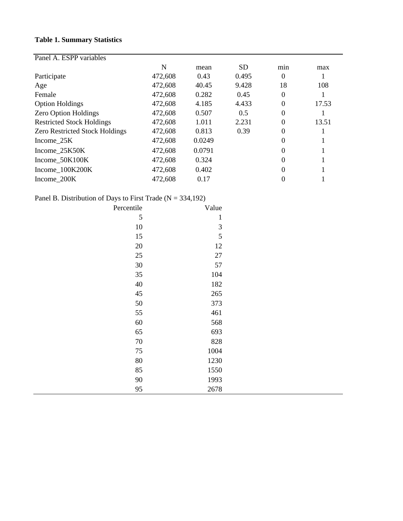## **Table 1. Summary Statistics**

J.

| Panel A. ESPP variables               |         |        |           |     |       |
|---------------------------------------|---------|--------|-----------|-----|-------|
|                                       | N       | mean   | <b>SD</b> | min | max   |
| Participate                           | 472,608 | 0.43   | 0.495     | 0   |       |
| Age                                   | 472,608 | 40.45  | 9.428     | 18  | 108   |
| Female                                | 472,608 | 0.282  | 0.45      | 0   |       |
| <b>Option Holdings</b>                | 472,608 | 4.185  | 4.433     | 0   | 17.53 |
| <b>Zero Option Holdings</b>           | 472,608 | 0.507  | 0.5       | 0   |       |
| <b>Restricted Stock Holdings</b>      | 472,608 | 1.011  | 2.231     | 0   | 13.51 |
| <b>Zero Restricted Stock Holdings</b> | 472,608 | 0.813  | 0.39      | 0   |       |
| Income_ $25K$                         | 472,608 | 0.0249 |           | 0   |       |
| Income 25K50K                         | 472,608 | 0.0791 |           | 0   |       |
| Income 50K100K                        | 472,608 | 0.324  |           | 0   |       |
| Income_100K200K                       | 472,608 | 0.402  |           | 0   |       |
| Income 200K                           | 472,608 | 0.17   |           | 0   |       |

# Panel B. Distribution of Days to First Trade (N = 334,192)

| Percentile | Value          |  |
|------------|----------------|--|
| $\sqrt{5}$ | $\mathbf{1}$   |  |
| 10         | $\mathfrak{Z}$ |  |
| 15         | 5              |  |
| $20\,$     | 12             |  |
| 25         | $27\,$         |  |
| 30         | 57             |  |
| 35         | 104            |  |
| 40         | 182            |  |
| 45         | 265            |  |
| $50\,$     | 373            |  |
| 55         | 461            |  |
| 60         | 568            |  |
| 65         | 693            |  |
| 70         | 828            |  |
| 75         | 1004           |  |
| $80\,$     | 1230           |  |
| 85         | 1550           |  |
| 90         | 1993           |  |
| 95         | 2678           |  |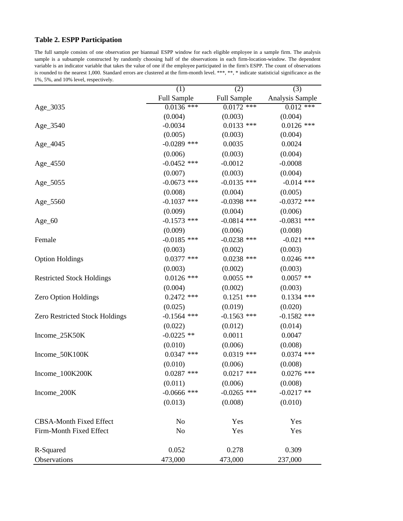#### **Table 2. ESPP Participation**

The full sample consists of one observation per biannual ESPP window for each eligible employee in a sample firm. The analysis sample is a subsample constructed by randomly choosing half of the observations in each firm-location-window. The dependent variable is an indicator variable that takes the value of one if the employee participated in the firm's ESPP. The count of observations is rounded to the nearest 1,000. Standard errors are clustered at the firm-month level. \*\*\*, \*\*, \* indicate statisticial significance as the 1%, 5%, and 10% level, respectively.

|                                  | (1)           | (2)                | (3)             |
|----------------------------------|---------------|--------------------|-----------------|
|                                  | Full Sample   | <b>Full Sample</b> | Analysis Sample |
| Age_3035                         | $0.0136$ ***  | $0.0172$ ***       | $0.012$ ***     |
|                                  | (0.004)       | (0.003)            | (0.004)         |
| Age_3540                         | $-0.0034$     | $0.0133$ ***       | $0.0126$ ***    |
|                                  | (0.005)       | (0.003)            | (0.004)         |
| Age_4045                         | $-0.0289$ *** | 0.0035             | 0.0024          |
|                                  | (0.006)       | (0.003)            | (0.004)         |
| Age_4550                         | $-0.0452$ *** | $-0.0012$          | $-0.0008$       |
|                                  | (0.007)       | (0.003)            | (0.004)         |
| Age_5055                         | $-0.0673$ *** | $-0.0135$ ***      | $-0.014$ ***    |
|                                  | (0.008)       | (0.004)            | (0.005)         |
| Age_5560                         | $-0.1037$ *** | $-0.0398$ ***      | $-0.0372$ ***   |
|                                  | (0.009)       | (0.004)            | (0.006)         |
| $Age_60$                         | $-0.1573$ *** | $-0.0814$ ***      | $-0.0831$ ***   |
|                                  | (0.009)       | (0.006)            | (0.008)         |
| Female                           | $-0.0185$ *** | $-0.0238$ ***      | $-0.021$ ***    |
|                                  | (0.003)       | (0.002)            | (0.003)         |
| <b>Option Holdings</b>           | $0.0377$ ***  | $0.0238$ ***       | $0.0246$ ***    |
|                                  | (0.003)       | (0.002)            | (0.003)         |
| <b>Restricted Stock Holdings</b> | $0.0126$ ***  | $0.0055$ **        | $0.0057$ **     |
|                                  | (0.004)       | (0.002)            | (0.003)         |
| Zero Option Holdings             | $0.2472$ ***  | $0.1251$ ***       | $0.1334$ ***    |
|                                  | (0.025)       | (0.019)            | (0.020)         |
| Zero Restricted Stock Holdings   | $-0.1564$ *** | $-0.1563$ ***      | $-0.1582$ ***   |
|                                  | (0.022)       | (0.012)            | (0.014)         |
| Income_25K50K                    | $-0.0225$ **  | 0.0011             | 0.0047          |
|                                  | (0.010)       | (0.006)            | (0.008)         |
| Income_50K100K                   | $0.0347$ ***  | $0.0319$ ***       | $0.0374$ ***    |
|                                  | (0.010)       | (0.006)            | (0.008)         |
| Income_100K200K                  | $0.0287$ ***  | $0.0217$ ***       | $0.0276$ ***    |
|                                  | (0.011)       | (0.006)            | (0.008)         |
| Income_200K                      | $-0.0666$ *** | $-0.0265$ ***      | $-0.0217$ **    |
|                                  | (0.013)       | (0.008)            | (0.010)         |
| <b>CBSA-Month Fixed Effect</b>   | No            | Yes                | Yes             |
| Firm-Month Fixed Effect          | No            | Yes                | Yes             |
| R-Squared                        | 0.052         | 0.278              | 0.309           |
| Observations                     | 473,000       | 473,000            | 237,000         |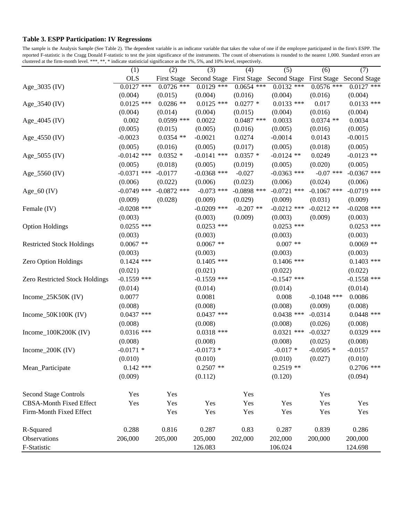#### **Table 3. ESPP Participation: IV Regressions**

The sample is the Analysis Sample (See Table 2). The dependent variable is an indicator variable that takes the value of one if the employee participated in the firm's ESPP. The reported F-statistic is the Cragg Donald F-statistic to test the joint significance of the instruments. The count of observations is rounded to the nearest 1,000. Standard errors are clustered at the firm-month level. \*\*\*, \*\*, \* indicate statisticial significance as the 1%, 5%, and 10% level, respectively.

|                                  | (1)           | (2)           | (3)                      | (4)           | (5)                                               | (6)           | (7)           |
|----------------------------------|---------------|---------------|--------------------------|---------------|---------------------------------------------------|---------------|---------------|
|                                  | <b>OLS</b>    |               | First Stage Second Stage |               | First Stage Second Stage First Stage Second Stage |               |               |
| Age_3035 (IV)                    | $0.0127$ ***  | $0.0726$ ***  | $0.0129$ ***             | $0.0654$ ***  | $0.0132$ ***                                      | $0.0576$ ***  | $0.0127$ ***  |
|                                  | (0.004)       | (0.015)       | (0.004)                  | (0.016)       | (0.004)                                           | (0.016)       | (0.004)       |
| Age_3540 (IV)                    | $0.0125$ ***  | $0.0286$ **   | $0.0125$ ***             | $0.0277$ *    | $0.0133$ ***                                      | 0.017         | $0.0133$ ***  |
|                                  | (0.004)       | (0.014)       | (0.004)                  | (0.015)       | (0.004)                                           | (0.016)       | (0.004)       |
| Age_4045 (IV)                    | 0.002         | $0.0599$ ***  | 0.0022                   | $0.0487$ ***  | 0.0033                                            | $0.0374$ **   | 0.0034        |
|                                  | (0.005)       | (0.015)       | (0.005)                  | (0.016)       | (0.005)                                           | (0.016)       | (0.005)       |
| Age_4550 (IV)                    | $-0.0023$     | $0.0354$ **   | $-0.0021$                | 0.0274        | $-0.0014$                                         | 0.0143        | $-0.0015$     |
|                                  | (0.005)       | (0.016)       | (0.005)                  | (0.017)       | (0.005)                                           | (0.018)       | (0.005)       |
| Age_5055 $(IV)$                  | $-0.0142$ *** | $0.0352*$     | $-0.0141$ ***            | $0.0357 *$    | $-0.0124$ **                                      | 0.0249        | $-0.0123$ **  |
|                                  | (0.005)       | (0.018)       | (0.005)                  | (0.019)       | (0.005)                                           | (0.020)       | (0.005)       |
| Age_5560 $(IV)$                  | $-0.0371$ *** | $-0.0177$     | $-0.0368$ ***            | $-0.027$      | $-0.0363$ ***                                     | $-0.07$ ***   | $-0.0367$ *** |
|                                  | (0.006)       | (0.022)       | (0.006)                  | (0.023)       | (0.006)                                           | (0.024)       | (0.006)       |
| Age_ $60$ (IV)                   | $-0.0749$ *** | $-0.0872$ *** | $-0.073$ ***             | $-0.0898$ *** | $-0.0721$ ***                                     | $-0.1067$ *** | $-0.0719$ *** |
|                                  | (0.009)       | (0.028)       | (0.009)                  | (0.029)       | (0.009)                                           | (0.031)       | (0.009)       |
| Female (IV)                      | $-0.0208$ *** |               | $-0.0209$ ***            | $-0.207$ **   | $-0.0212$ ***                                     | $-0.0212$ **  | $-0.0208$ *** |
|                                  | (0.003)       |               | (0.003)                  | (0.009)       | (0.003)                                           | (0.009)       | (0.003)       |
| <b>Option Holdings</b>           | $0.0255$ ***  |               | $0.0253$ ***             |               | $0.0253$ ***                                      |               | $0.0253$ ***  |
|                                  | (0.003)       |               | (0.003)                  |               | (0.003)                                           |               | (0.003)       |
| <b>Restricted Stock Holdings</b> | $0.0067$ **   |               | $0.0067$ **              |               | $0.007$ **                                        |               | $0.0069$ **   |
|                                  | (0.003)       |               | (0.003)                  |               | (0.003)                                           |               | (0.003)       |
| Zero Option Holdings             | $0.1424$ ***  |               | $0.1405$ ***             |               | $0.1406$ ***                                      |               | $0.1403$ ***  |
|                                  | (0.021)       |               | (0.021)                  |               | (0.022)                                           |               | (0.022)       |
| Zero Restricted Stock Holdings   | $-0.1559$ *** |               | $-0.1559$ ***            |               | $-0.1547$ ***                                     |               | $-0.1558$ *** |
|                                  | (0.014)       |               | (0.014)                  |               | (0.014)                                           |               | (0.014)       |
| Income_ $25K50K$ (IV)            | 0.0077        |               | 0.0081                   |               | 0.008                                             | $-0.1048$ *** | 0.0086        |
|                                  | (0.008)       |               | (0.008)                  |               | (0.008)                                           | (0.009)       | (0.008)       |
| Income_50K100K $(IV)$            | $0.0437$ ***  |               | $0.0437$ ***             |               | $0.0438$ ***                                      | $-0.0314$     | $0.0448$ ***  |
|                                  | (0.008)       |               | (0.008)                  |               | (0.008)                                           | (0.026)       | (0.008)       |
| $Income_100K200K$ (IV)           | $0.0316$ ***  |               | $0.0318$ ***             |               | $0.0321$ ***                                      | $-0.0327$     | $0.0329$ ***  |
|                                  | (0.008)       |               | (0.008)                  |               | (0.008)                                           | (0.025)       | (0.008)       |
| Income_ $200K$ (IV)              | $-0.0171$ *   |               | $-0.0173$ *              |               | $-0.017$ *                                        | $-0.0505$ *   | $-0.0157$     |
|                                  | (0.010)       |               | (0.010)                  |               | (0.010)                                           | (0.027)       | (0.010)       |
| Mean_Participate                 | $0.142$ ***   |               | $0.2507$ **              |               | $0.2519**$                                        |               | $0.2706$ ***  |
|                                  | (0.009)       |               | (0.112)                  |               | (0.120)                                           |               | (0.094)       |
| <b>Second Stage Controls</b>     | Yes           | Yes           |                          | Yes           |                                                   | Yes           |               |
| CBSA-Month Fixed Effect          | Yes           | Yes           | Yes                      | Yes           | Yes                                               | Yes           | Yes           |
| Firm-Month Fixed Effect          |               | Yes           | Yes                      | Yes           | Yes                                               | Yes           | Yes           |
| R-Squared                        | 0.288         | 0.816         | 0.287                    | 0.83          | 0.287                                             | 0.839         | 0.286         |
| Observations                     | 206,000       | 205,000       | 205,000                  | 202,000       | 202,000                                           | 200,000       | 200,000       |
| F-Statistic                      |               |               | 126.083                  |               | 106.024                                           |               | 124.698       |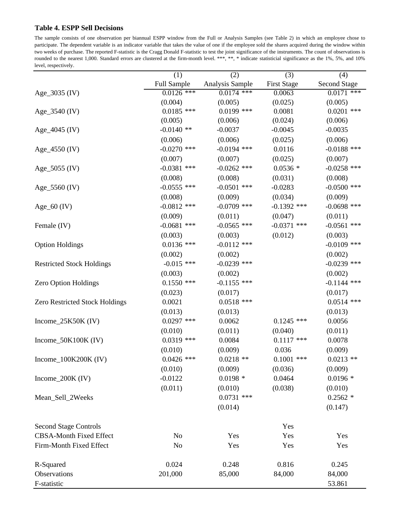#### **Table 4. ESPP Sell Decisions**

The sample consists of one observation per biannual ESPP window from the Full or Analysis Samples (see Table 2) in which an employee chose to participate. The dependent variable is an indicator variable that takes the value of one if the employee sold the shares acquired during the window within two weeks of purchase. The reported F-statistic is the Cragg Donald F-statistic to test the joint significance of the instruments. The count of observations is rounded to the nearest 1,000. Standard errors are clustered at the firm-month level. \*\*\*, \*\*, \* indicate statisticial significance as the 1%, 5%, and 10% level, respectively.

|                                  | (1)            | (2)             | (3)                | (4)                 |
|----------------------------------|----------------|-----------------|--------------------|---------------------|
|                                  | Full Sample    | Analysis Sample | <b>First Stage</b> | <b>Second Stage</b> |
| Age_3035 (IV)                    | $0.0126$ ***   | $0.0174$ ***    | 0.0063             | $0.0171$ ***        |
|                                  | (0.004)        | (0.005)         | (0.025)            | (0.005)             |
| Age_3540 (IV)                    | $0.0185$ ***   | $0.0199$ ***    | 0.0081             | $0.0201$ ***        |
|                                  | (0.005)        | (0.006)         | (0.024)            | (0.006)             |
| Age_4045 (IV)                    | $-0.0140$ **   | $-0.0037$       | $-0.0045$          | $-0.0035$           |
|                                  | (0.006)        | (0.006)         | (0.025)            | (0.006)             |
| Age_4550 (IV)                    | $-0.0270$ ***  | $-0.0194$ ***   | 0.0116             | $-0.0188$ ***       |
|                                  | (0.007)        | (0.007)         | (0.025)            | (0.007)             |
| Age_5055 $(IV)$                  | $-0.0381$ ***  | $-0.0262$ ***   | $0.0536*$          | $-0.0258$ ***       |
|                                  | (0.008)        | (0.008)         | (0.031)            | (0.008)             |
| Age_5560 (IV)                    | $-0.0555$ ***  | $-0.0501$ ***   | $-0.0283$          | $-0.0500$ ***       |
|                                  | (0.008)        | (0.009)         | (0.034)            | (0.009)             |
| Age_ $60$ (IV)                   | $-0.0812$ ***  | $-0.0709$ ***   | $-0.1392$ ***      | $-0.0698$ ***       |
|                                  | (0.009)        | (0.011)         | (0.047)            | (0.011)             |
| Female (IV)                      | $-0.0681$ ***  | $-0.0565$ ***   | $-0.0371$ ***      | $-0.0561$ ***       |
|                                  | (0.003)        | (0.003)         | (0.012)            | (0.003)             |
| <b>Option Holdings</b>           | $0.0136$ ***   | $-0.0112$ ***   |                    | $-0.0109$ ***       |
|                                  | (0.002)        | (0.002)         |                    | (0.002)             |
| <b>Restricted Stock Holdings</b> | $-0.015$ ***   | $-0.0239$ ***   |                    | $-0.0239$ ***       |
|                                  | (0.003)        | (0.002)         |                    | (0.002)             |
| Zero Option Holdings             | $0.1550$ ***   | $-0.1155$ ***   |                    | $-0.1144$ ***       |
|                                  | (0.023)        | (0.017)         |                    | (0.017)             |
| Zero Restricted Stock Holdings   | 0.0021         | $0.0518$ ***    |                    | $0.0514$ ***        |
|                                  | (0.013)        | (0.013)         |                    | (0.013)             |
| Income_ $25K50K$ (IV)            | $0.0297$ ***   | 0.0062          | $0.1245$ ***       | 0.0056              |
|                                  | (0.010)        | (0.011)         | (0.040)            | (0.011)             |
| Income_50 $K100K$ (IV)           | $0.0319$ ***   | 0.0084          | $0.1117$ ***       | 0.0078              |
|                                  | (0.010)        | (0.009)         | 0.036              | (0.009)             |
| Income_100K200K (IV)             | $0.0426$ ***   | $0.0218$ **     | $0.1001$ ***       | $0.0213$ **         |
|                                  | (0.010)        | (0.009)         | (0.036)            | (0.009)             |
| Income_ $200K$ (IV)              | $-0.0122$      | $0.0198 *$      | 0.0464             | $0.0196*$           |
|                                  | (0.011)        | (0.010)         | (0.038)            | (0.010)             |
| Mean_Sell_2Weeks                 |                | $0.0731$ ***    |                    | $0.2562$ *          |
|                                  |                | (0.014)         |                    | (0.147)             |
|                                  |                |                 |                    |                     |
| <b>Second Stage Controls</b>     |                |                 | Yes                |                     |
| <b>CBSA-Month Fixed Effect</b>   | N <sub>o</sub> | Yes             | Yes                | Yes                 |
| Firm-Month Fixed Effect          | No             | Yes             | Yes                | Yes                 |
| R-Squared                        | 0.024          | 0.248           | 0.816              | 0.245               |
| Observations                     | 201,000        | 85,000          | 84,000             | 84,000              |
| F-statistic                      |                |                 |                    | 53.861              |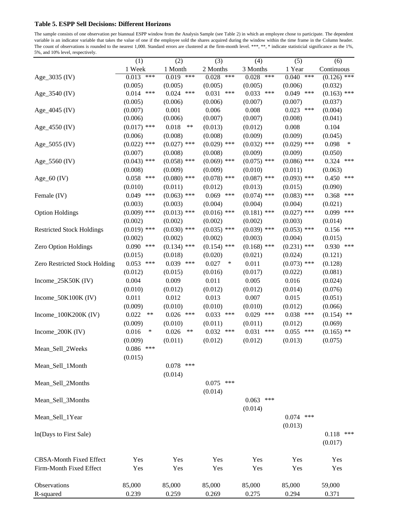#### **Table 5. ESPP Sell Decisions: Different Horizons**

The sample consists of one observation per biannual ESPP window from the Analysis Sample (see Table 2) in which an employee chose to participate. The dependent variable is an indicator variable that takes the value of one if the employee sold the shares acquired during the window within the time frame in the Column header. The count of observations is rounded to the nearest 1,000. Standard errors are clustered at the firm-month level. \*\*\*, \*\*, \* indicate statisticial significance as the 1%, 5%, and 10% level, respectively.

|                                  | (1)            | (2)            | (3)             | (4)           | (5)           | (6)                      |
|----------------------------------|----------------|----------------|-----------------|---------------|---------------|--------------------------|
|                                  | 1 Week         | 1 Month        | 2 Months        | 3 Months      | 1 Year        | Continuous               |
| Age_3035 (IV)                    | $0.013$ ***    | $0.019$ ***    | $0.028$ ***     | $0.028$ ***   | $0.040$ ***   | $\overline{(0.126)}$ *** |
|                                  | (0.005)        | (0.005)        | (0.005)         | (0.005)       | (0.006)       | (0.032)                  |
| Age_3540 (IV)                    | $0.014$ ***    | 0.024<br>***   | 0.031<br>***    | $0.033$ ***   | $0.049$ ***   | $(0.163)$ ***            |
|                                  | (0.005)        | (0.006)        | (0.006)         | (0.007)       | (0.007)       | (0.037)                  |
| Age_4045 (IV)                    | (0.007)        | 0.001          | 0.006           | 0.008         | 0.023<br>***  | (0.004)                  |
|                                  | (0.006)        | (0.006)        | (0.007)         | (0.007)       | (0.008)       | (0.041)                  |
| Age_4550 (IV)                    | $(0.017)$ ***  | 0.018<br>$***$ | (0.013)         | (0.012)       | 0.008         | 0.104                    |
|                                  | (0.006)        | (0.008)        | (0.008)         | (0.009)       | (0.009)       | (0.045)                  |
| Age_5055 (IV)                    | $(0.022)$ ***  | $(0.027)$ ***  | $(0.029)$ ***   | $(0.032)$ *** | $(0.029)$ *** | 0.098<br>∗               |
|                                  | (0.007)        | (0.008)        | (0.008)         | (0.009)       | (0.009)       | (0.050)                  |
| Age_5560 (IV)                    | $(0.043)$ ***  | $(0.058)$ ***  | $(0.069)$ ***   | $(0.075)$ *** | $(0.086)$ *** | 0.324<br>***             |
|                                  | (0.008)        | (0.009)        | (0.009)         | (0.010)       | (0.011)       | (0.063)                  |
| Age_ $60$ (IV)                   | $0.058$ ***    | $(0.080)$ ***  | $(0.078)$ ***   | $(0.087)$ *** | $(0.093)$ *** | 0.450<br>***             |
|                                  | (0.010)        | (0.011)        | (0.012)         | (0.013)       | (0.015)       | (0.090)                  |
| Female (IV)                      | $0.049$ ***    | $(0.063)$ ***  | 0.069<br>***    | $(0.074)$ *** | $(0.083)$ *** | 0.368<br>***             |
|                                  | (0.003)        | (0.003)        | (0.004)         | (0.004)       | (0.004)       | (0.021)                  |
| <b>Option Holdings</b>           | $(0.009)$ ***  | $(0.013)$ ***  | $(0.016)$ ***   | $(0.181)$ *** | $(0.027)$ *** | $0.099$ ***              |
|                                  | (0.002)        | (0.002)        | (0.002)         | (0.002)       | (0.003)       | (0.014)                  |
| <b>Restricted Stock Holdings</b> | $(0.019)$ ***  | $(0.030)$ ***  | $(0.035)$ ***   | $(0.039)$ *** | $(0.053)$ *** | 0.156<br>***             |
|                                  | (0.002)        | (0.002)        | (0.002)         | (0.003)       | (0.004)       | (0.015)                  |
| Zero Option Holdings             | $0.090$ ***    | $(0.134)$ ***  | $(0.154)$ ***   | $(0.168)$ *** | $(0.231)$ *** | $0.930$ ***              |
|                                  | (0.015)        | (0.018)        | (0.020)         | (0.021)       | (0.024)       | (0.121)                  |
| Zero Restricted Stock Holding    | $0.053$ ***    | $0.039$ ***    | 0.027<br>$\ast$ | 0.011         | $(0.073)$ *** | (0.128)                  |
|                                  | (0.012)        | (0.015)        | (0.016)         | (0.017)       | (0.022)       | (0.081)                  |
| Income_ $25K50K$ (IV)            | 0.004          | 0.009          | 0.011           | 0.005         | 0.016         | (0.024)                  |
|                                  | (0.010)        | (0.012)        | (0.012)         | (0.012)       | (0.014)       | (0.076)                  |
| Income_50K100K $(IV)$            | 0.011          | 0.012          | 0.013           | 0.007         | 0.015         | (0.051)                  |
|                                  | (0.009)        | (0.010)        | (0.010)         | (0.010)       | (0.012)       | (0.066)                  |
| Income_ $100K200K$ (IV)          | 0.022<br>$***$ | $0.026$ ***    | 0.033<br>***    | $0.029$ ***   | $0.038$ ***   | $(0.154)$ **             |
|                                  | (0.009)        | (0.010)        | (0.011)         | (0.011)       | (0.012)       | (0.069)                  |
| Income_200K (IV)                 | 0.016<br>∗     | 0.026<br>$***$ | 0.032<br>***    | 0.031<br>***  | $0.055$ ***   | $(0.165)$ **             |
|                                  | (0.009)        | (0.011)        | (0.012)         | (0.012)       | (0.013)       | (0.075)                  |
| Mean_Sell_2Weeks                 | $0.086$ ***    |                |                 |               |               |                          |
|                                  | (0.015)        |                |                 |               |               |                          |
| Mean_Sell_1Month                 |                | ***<br>0.078   |                 |               |               |                          |
|                                  |                | (0.014)        |                 |               |               |                          |
|                                  |                |                | 0.075<br>***    |               |               |                          |
| Mean_Sell_2Months                |                |                | (0.014)         |               |               |                          |
|                                  |                |                |                 | ***           |               |                          |
| Mean_Sell_3Months                |                |                |                 | 0.063         |               |                          |
|                                  |                |                |                 | (0.014)       |               |                          |
| Mean_Sell_1Year                  |                |                |                 |               | $0.074$ ***   |                          |
|                                  |                |                |                 |               | (0.013)       |                          |
| In(Days to First Sale)           |                |                |                 |               |               | 0.118<br>***             |
|                                  |                |                |                 |               |               | (0.017)                  |
|                                  |                |                |                 |               |               |                          |
| <b>CBSA-Month Fixed Effect</b>   | Yes            | Yes            | Yes             | Yes           | Yes           | Yes                      |
| Firm-Month Fixed Effect          | Yes            | Yes            | Yes             | Yes           | Yes           | Yes                      |
|                                  |                |                |                 |               |               |                          |
| Observations                     | 85,000         | 85,000         | 85,000          | 85,000        | 85,000        | 59,000                   |
| R-squared                        | 0.239          | 0.259          | 0.269           | 0.275         | 0.294         | 0.371                    |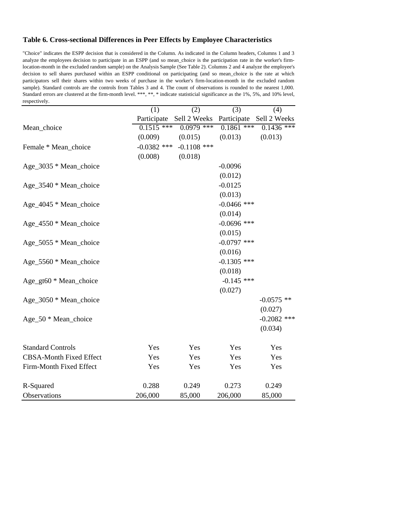#### **Table 6. Cross-sectional Differences in Peer Effects by Employee Characteristics**

"Choice" indicates the ESPP decision that is considered in the Column. As indicated in the Column headers, Columns 1 and 3 analyze the employees decision to participate in an ESPP (and so mean\_choice is the participation rate in the worker's firmlocation-month in the excluded random sample) on the Analysis Sample (See Table 2). Columns 2 and 4 analyze the employee's decision to sell shares purchased within an ESPP conditional on participating (and so mean\_choice is the rate at which participators sell their shares within two weeks of purchase in the worker's firm-location-month in the excluded random sample). Standard controls are the controls from Tables 3 and 4. The count of observations is rounded to the nearest 1,000. Standard errors are clustered at the firm-month level. \*\*\*, \*\*, \* indicate statisticial significance as the 1%, 5%, and 10% level, respectively.

|                                | (1)           | (2)                                               | (3)           | (4)           |  |
|--------------------------------|---------------|---------------------------------------------------|---------------|---------------|--|
|                                |               | Participate Sell 2 Weeks Participate Sell 2 Weeks |               |               |  |
| Mean_choice                    | $0.1515$ ***  | $0.0979$ ***                                      | $0.1861$ ***  | $0.1436$ ***  |  |
|                                | (0.009)       | (0.015)                                           | (0.013)       | (0.013)       |  |
| Female * Mean_choice           | $-0.0382$ *** | $-0.1108$ ***                                     |               |               |  |
|                                | (0.008)       | (0.018)                                           |               |               |  |
| Age_3035 * Mean_choice         |               |                                                   | $-0.0096$     |               |  |
|                                |               |                                                   | (0.012)       |               |  |
| Age_3540 * Mean_choice         |               |                                                   | $-0.0125$     |               |  |
|                                |               |                                                   | (0.013)       |               |  |
| Age_ $4045 * Mean$ _choice     |               |                                                   | $-0.0466$ *** |               |  |
|                                |               |                                                   | (0.014)       |               |  |
| Age_4550 * Mean_choice         |               |                                                   | $-0.0696$ *** |               |  |
|                                |               |                                                   | (0.015)       |               |  |
| Age_5055 * Mean_choice         |               |                                                   | $-0.0797$ *** |               |  |
|                                |               |                                                   | (0.016)       |               |  |
| Age_5560 * Mean_choice         |               |                                                   | $-0.1305$ *** |               |  |
|                                |               |                                                   | (0.018)       |               |  |
| Age_gt60 * Mean_choice         |               |                                                   | $-0.145$ ***  |               |  |
|                                |               |                                                   | (0.027)       |               |  |
| Age_3050 $*$ Mean_choice       |               |                                                   |               | $-0.0575$ **  |  |
|                                |               |                                                   |               | (0.027)       |  |
| Age_50 * Mean_choice           |               |                                                   |               | $-0.2082$ *** |  |
|                                |               |                                                   |               | (0.034)       |  |
|                                |               |                                                   |               |               |  |
| <b>Standard Controls</b>       | Yes           | Yes                                               | Yes           | Yes           |  |
| <b>CBSA-Month Fixed Effect</b> | Yes           | Yes                                               | Yes           | Yes           |  |
| Firm-Month Fixed Effect        | Yes           | Yes                                               | Yes           | Yes           |  |
|                                |               |                                                   |               |               |  |
| R-Squared                      | 0.288         | 0.249                                             | 0.273         | 0.249         |  |
| Observations                   | 206,000       | 85,000                                            | 206,000       | 85,000        |  |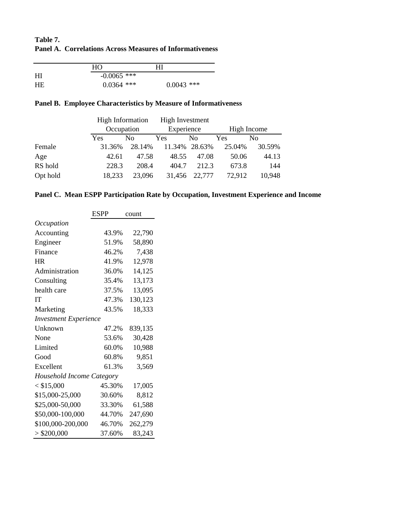|    | HО            | HI           |
|----|---------------|--------------|
| HI | $-0.0065$ *** |              |
| HE | $0.0364$ ***  | $0.0043$ *** |

### **Table 7. Panel A. Correlations Across Measures of Informativeness**

## **Panel B. Employee Characteristics by Measure of Informativeness**

|          |        | <b>High Information</b> |        | High Investment |             |        |  |
|----------|--------|-------------------------|--------|-----------------|-------------|--------|--|
|          |        | Occupation              |        | Experience      | High Income |        |  |
|          | Yes    | No                      | Yes    | $\rm No$        | Yes         | Nο     |  |
| Female   | 31.36% | 28.14%                  |        | 11.34% 28.63%   | 25.04%      | 30.59% |  |
| Age      | 42.61  | 47.58                   | 48.55  | 47.08           | 50.06       | 44.13  |  |
| RS hold  | 228.3  | 208.4                   | 404.7  | 212.3           | 673.8       | 144    |  |
| Opt hold | 18,233 | 23,096                  | 31,456 | 22,777          | 72,912      | 10,948 |  |

## **Panel C. Mean ESPP Participation Rate by Occupation, Investment Experience and Income**

|                              | <b>ESPP</b> | count   |
|------------------------------|-------------|---------|
| Occupation                   |             |         |
| Accounting                   | 43.9%       | 22,790  |
| Engineer                     | 51.9%       | 58,890  |
| Finance                      | 46.2%       | 7,438   |
| <b>HR</b>                    | 41.9%       | 12,978  |
| Administration               | 36.0%       | 14,125  |
| Consulting                   | 35.4%       | 13,173  |
| health care                  | 37.5%       | 13,095  |
| IT                           | 47.3%       | 130,123 |
| Marketing                    | 43.5%       | 18,333  |
| <b>Investment Experience</b> |             |         |
| Unknown                      | 47.2%       | 839,135 |
| None                         | 53.6%       | 30,428  |
| Limited                      | 60.0%       | 10,988  |
| Good                         | 60.8%       | 9,851   |
| Excellent                    | 61.3%       | 3,569   |
| Household Income Category    |             |         |
| $<$ \$15,000                 | 45.30%      | 17,005  |
| \$15,000-25,000              | 30.60%      | 8,812   |
| \$25,000-50,000              | 33.30%      | 61,588  |
| \$50,000-100,000             | 44.70%      | 247,690 |
| \$100,000-200,000            | 46.70%      | 262,279 |
| $>$ \$200,000                | 37.60%      | 83,243  |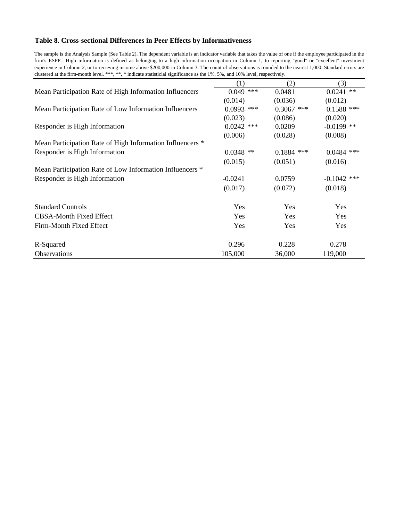#### **Table 8. Cross-sectional Differences in Peer Effects by Informativeness**

The sample is the Analysis Sample (See Table 2). The dependent variable is an indicator variable that takes the value of one if the employee participated in the firm's ESPP. High information is defined as belonging to a high information occupation in Column 1, to reporting "good" or "excellent" investment experience in Column 2, or to recieving income above \$200,000 in Column 3. The count of observations is rounded to the nearest 1,000. Standard errors are clustered at the firm-month level. \*\*\*, \*\*, \* indicate statisticial significance as the 1%, 5%, and 10% level, respectively.

|                                                           | (1)          | (2)          | (3)           |
|-----------------------------------------------------------|--------------|--------------|---------------|
| Mean Participation Rate of High Information Influencers   | $0.049$ ***  | 0.0481       | $0.0241$ **   |
|                                                           | (0.014)      | (0.036)      | (0.012)       |
| Mean Participation Rate of Low Information Influencers    | $0.0993$ *** | $0.3067$ *** | $0.1588$ ***  |
|                                                           | (0.023)      | (0.086)      | (0.020)       |
| Responder is High Information                             | $0.0242$ *** | 0.0209       | $-0.0199$ **  |
|                                                           | (0.006)      | (0.028)      | (0.008)       |
| Mean Participation Rate of High Information Influencers * |              |              |               |
| Responder is High Information                             | $0.0348$ **  | $0.1884$ *** | $0.0484$ ***  |
|                                                           | (0.015)      | (0.051)      | (0.016)       |
| Mean Participation Rate of Low Information Influencers *  |              |              |               |
| Responder is High Information                             | $-0.0241$    | 0.0759       | $-0.1042$ *** |
|                                                           | (0.017)      | (0.072)      | (0.018)       |
| <b>Standard Controls</b>                                  | Yes          | Yes          | Yes           |
| <b>CBSA-Month Fixed Effect</b>                            | Yes          | Yes          | Yes           |
| Firm-Month Fixed Effect                                   | Yes          | Yes          | Yes           |
| R-Squared                                                 | 0.296        | 0.228        | 0.278         |
| <b>Observations</b>                                       | 105,000      | 36,000       | 119,000       |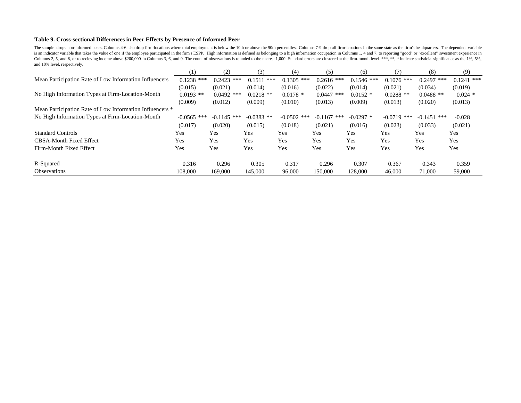#### **Table 9. Cross-sectional Differences in Peer Effects by Presence of Informed Peer**

The sample drops non-informed peers. Columns 4-6 also drop firm-locations where total employment is below the 10th or above the 90th percentiles. Columns 7-9 drop all firm-lcoations in the same state as the firm's headquar is an indicator variable that takes the value of one if the employee participated in the firm's ESPP. High information is defined as belonging to a high information occupation in Columns 1, 4 and 7, to reporting "good" or Columns 2, 5, and 8, or to recieving income above \$200,000 in Columns 3, 6, and 9. The count of observations is rounded to the nearest 1,000. Standard errors are clustered at the firm-month level. \*\*\*, \*\*, \* indicate stati and 10% level, respectively.

|                                                          | (1)           | (2)           | (3)          | (4)           | (5)              | (6)          | (7)           | (8)           | (9)          |
|----------------------------------------------------------|---------------|---------------|--------------|---------------|------------------|--------------|---------------|---------------|--------------|
| Mean Participation Rate of Low Information Influencers   | $0.1238$ ***  | $0.2423$ ***  | $0.1511$ *** | $0.1305$ ***  | $0.2616$ ***     | $0.1546$ *** | $0.1076$ ***  | $0.2497$ ***  | $0.1241$ *** |
|                                                          | (0.015)       | (0.021)       | (0.014)      | (0.016)       | (0.022)          | (0.014)      | (0.021)       | (0.034)       | (0.019)      |
| No High Information Types at Firm-Location-Month         | $0.0193$ **   | $0.0492$ ***  | $0.0218$ **  | $0.0178$ *    | $0.0447$ ***     | $0.0152$ *   | $0.0288$ **   | $0.0488$ **   | $0.024$ *    |
|                                                          | (0.009)       | (0.012)       | (0.009)      | (0.010)       | (0.013)          | (0.009)      | (0.013)       | (0.020)       | (0.013)      |
| Mean Participation Rate of Low Information Influencers * |               |               |              |               |                  |              |               |               |              |
| No High Information Types at Firm-Location-Month         | $-0.0565$ *** | $-0.1145$ *** | $-0.0383$ ** | $-0.0502$ *** | $-0.1167$<br>*** | $-0.0297$ *  | $-0.0719$ *** | $-0.1451$ *** | $-0.028$     |
|                                                          | (0.017)       | (0.020)       | (0.015)      | (0.018)       | (0.021)          | (0.016)      | (0.023)       | (0.033)       | (0.021)      |
| <b>Standard Controls</b>                                 | Yes           | Yes           | Yes          | Yes           | Yes              | Yes          | Yes           | Yes           | Yes          |
| <b>CBSA-Month Fixed Effect</b>                           | Yes           | Yes           | Yes          | Yes           | Yes              | Yes          | Yes           | Yes           | Yes          |
| Firm-Month Fixed Effect                                  | Yes           | Yes           | Yes          | Yes           | Yes              | Yes          | Yes           | Yes           | Yes          |
| R-Squared                                                | 0.316         | 0.296         | 0.305        | 0.317         | 0.296            | 0.307        | 0.367         | 0.343         | 0.359        |
| <b>Observations</b>                                      | 108,000       | 169,000       | 145,000      | 96,000        | 150,000          | 128,000      | 46,000        | 71,000        | 59,000       |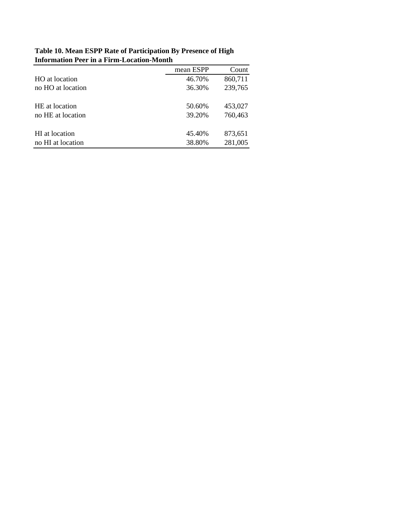|                   | mean ESPP | Count   |
|-------------------|-----------|---------|
| HO at location    | 46.70%    | 860,711 |
| no HO at location | 36.30%    | 239,765 |
|                   |           |         |
| HE at location    | 50.60%    | 453,027 |
| no HE at location | 39.20%    | 760,463 |
| HI at location    | 45.40%    | 873,651 |
|                   |           |         |
| no HI at location | 38.80%    | 281,005 |

## **Table 10. Mean ESPP Rate of Participation By Presence of High Information Peer in a Firm-Location-Month**